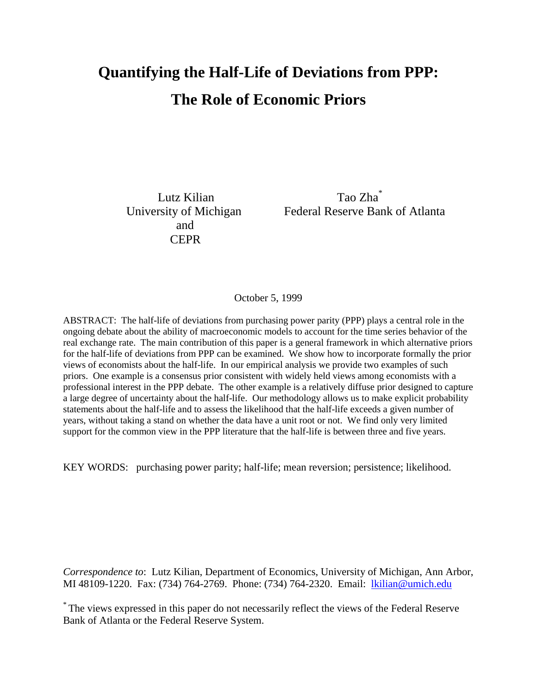# **Quantifying the Half-Life of Deviations from PPP: The Role of Economic Priors**

 and **CEPR** 

Lutz Kilian Tao Zha\* University of Michigan Federal Reserve Bank of Atlanta

October 5, 1999

ABSTRACT: The half-life of deviations from purchasing power parity (PPP) plays a central role in the ongoing debate about the ability of macroeconomic models to account for the time series behavior of the real exchange rate. The main contribution of this paper is a general framework in which alternative priors for the half-life of deviations from PPP can be examined. We show how to incorporate formally the prior views of economists about the half-life. In our empirical analysis we provide two examples of such priors. One example is a consensus prior consistent with widely held views among economists with a professional interest in the PPP debate. The other example is a relatively diffuse prior designed to capture a large degree of uncertainty about the half-life. Our methodology allows us to make explicit probability statements about the half-life and to assess the likelihood that the half-life exceeds a given number of years, without taking a stand on whether the data have a unit root or not. We find only very limited support for the common view in the PPP literature that the half-life is between three and five years.

KEY WORDS: purchasing power parity; half-life; mean reversion; persistence; likelihood.

*Correspondence to*: Lutz Kilian, Department of Economics, University of Michigan, Ann Arbor, MI 48109-1220. Fax: (734) 764-2769. Phone: (734) 764-2320. Email: lkilian@umich.edu

\* The views expressed in this paper do not necessarily reflect the views of the Federal Reserve Bank of Atlanta or the Federal Reserve System.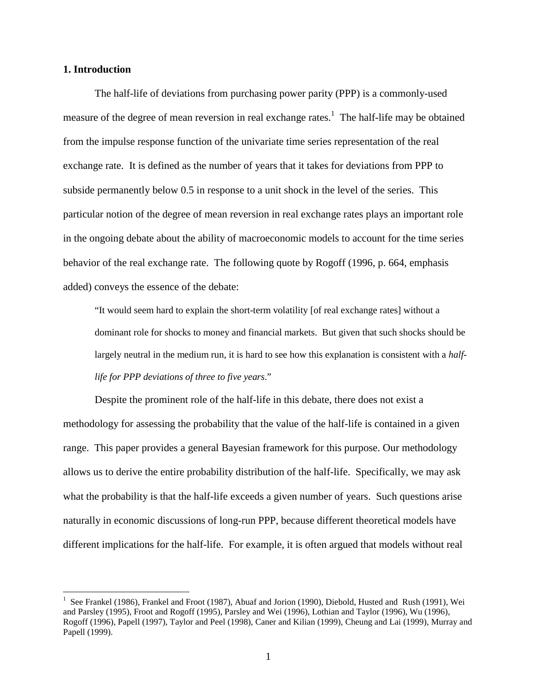#### **1. Introduction**

 $\overline{a}$ 

The half-life of deviations from purchasing power parity (PPP) is a commonly-used measure of the degree of mean reversion in real exchange rates.<sup>1</sup> The half-life may be obtained from the impulse response function of the univariate time series representation of the real exchange rate. It is defined as the number of years that it takes for deviations from PPP to subside permanently below 0.5 in response to a unit shock in the level of the series. This particular notion of the degree of mean reversion in real exchange rates plays an important role in the ongoing debate about the ability of macroeconomic models to account for the time series behavior of the real exchange rate. The following quote by Rogoff (1996, p. 664, emphasis added) conveys the essence of the debate:

"It would seem hard to explain the short-term volatility [of real exchange rates] without a dominant role for shocks to money and financial markets. But given that such shocks should be largely neutral in the medium run, it is hard to see how this explanation is consistent with a *halflife for PPP deviations of three to five years*."

Despite the prominent role of the half-life in this debate, there does not exist a methodology for assessing the probability that the value of the half-life is contained in a given range. This paper provides a general Bayesian framework for this purpose. Our methodology allows us to derive the entire probability distribution of the half-life. Specifically, we may ask what the probability is that the half-life exceeds a given number of years. Such questions arise naturally in economic discussions of long-run PPP, because different theoretical models have different implications for the half-life. For example, it is often argued that models without real

<sup>1</sup> See Frankel (1986), Frankel and Froot (1987), Abuaf and Jorion (1990), Diebold, Husted and Rush (1991), Wei and Parsley (1995), Froot and Rogoff (1995), Parsley and Wei (1996), Lothian and Taylor (1996), Wu (1996), Rogoff (1996), Papell (1997), Taylor and Peel (1998), Caner and Kilian (1999), Cheung and Lai (1999), Murray and Papell (1999).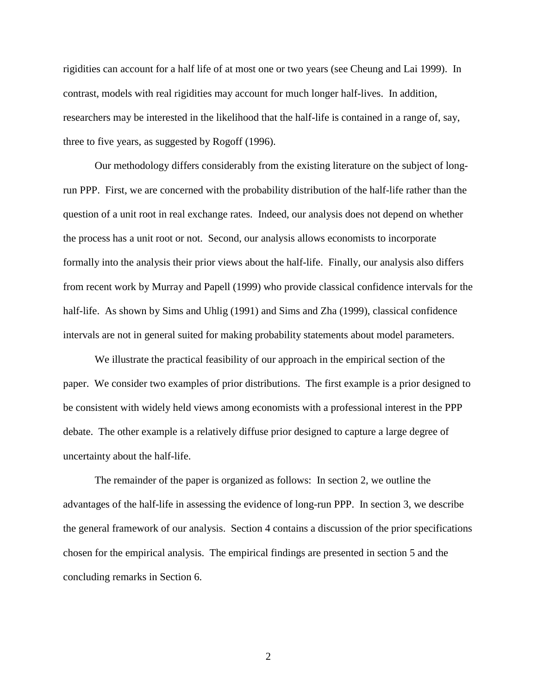rigidities can account for a half life of at most one or two years (see Cheung and Lai 1999). In contrast, models with real rigidities may account for much longer half-lives. In addition, researchers may be interested in the likelihood that the half-life is contained in a range of, say, three to five years, as suggested by Rogoff (1996).

Our methodology differs considerably from the existing literature on the subject of longrun PPP. First, we are concerned with the probability distribution of the half-life rather than the question of a unit root in real exchange rates. Indeed, our analysis does not depend on whether the process has a unit root or not. Second, our analysis allows economists to incorporate formally into the analysis their prior views about the half-life. Finally, our analysis also differs from recent work by Murray and Papell (1999) who provide classical confidence intervals for the half-life. As shown by Sims and Uhlig (1991) and Sims and Zha (1999), classical confidence intervals are not in general suited for making probability statements about model parameters.

We illustrate the practical feasibility of our approach in the empirical section of the paper. We consider two examples of prior distributions. The first example is a prior designed to be consistent with widely held views among economists with a professional interest in the PPP debate. The other example is a relatively diffuse prior designed to capture a large degree of uncertainty about the half-life.

The remainder of the paper is organized as follows: In section 2, we outline the advantages of the half-life in assessing the evidence of long-run PPP. In section 3, we describe the general framework of our analysis. Section 4 contains a discussion of the prior specifications chosen for the empirical analysis. The empirical findings are presented in section 5 and the concluding remarks in Section 6.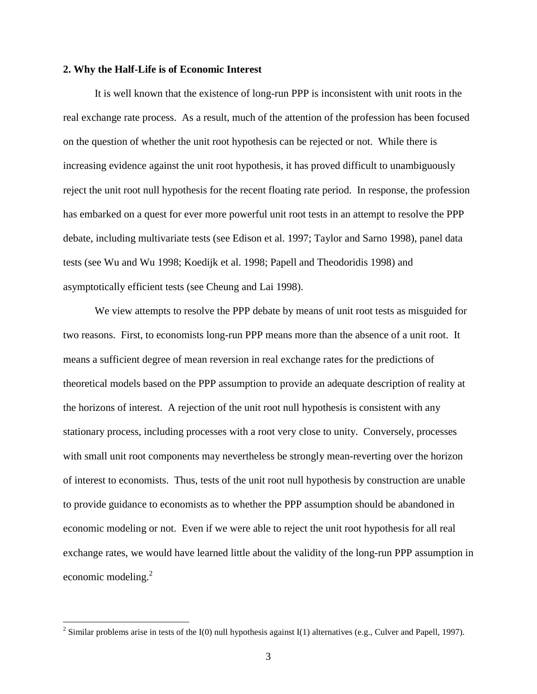#### **2. Why the Half-Life is of Economic Interest**

It is well known that the existence of long-run PPP is inconsistent with unit roots in the real exchange rate process. As a result, much of the attention of the profession has been focused on the question of whether the unit root hypothesis can be rejected or not. While there is increasing evidence against the unit root hypothesis, it has proved difficult to unambiguously reject the unit root null hypothesis for the recent floating rate period. In response, the profession has embarked on a quest for ever more powerful unit root tests in an attempt to resolve the PPP debate, including multivariate tests (see Edison et al. 1997; Taylor and Sarno 1998), panel data tests (see Wu and Wu 1998; Koedijk et al. 1998; Papell and Theodoridis 1998) and asymptotically efficient tests (see Cheung and Lai 1998).

We view attempts to resolve the PPP debate by means of unit root tests as misguided for two reasons. First, to economists long-run PPP means more than the absence of a unit root. It means a sufficient degree of mean reversion in real exchange rates for the predictions of theoretical models based on the PPP assumption to provide an adequate description of reality at the horizons of interest. A rejection of the unit root null hypothesis is consistent with any stationary process, including processes with a root very close to unity. Conversely, processes with small unit root components may nevertheless be strongly mean-reverting over the horizon of interest to economists. Thus, tests of the unit root null hypothesis by construction are unable to provide guidance to economists as to whether the PPP assumption should be abandoned in economic modeling or not. Even if we were able to reject the unit root hypothesis for all real exchange rates, we would have learned little about the validity of the long-run PPP assumption in economic modeling.<sup>2</sup>

 $\overline{a}$ 

<sup>&</sup>lt;sup>2</sup> Similar problems arise in tests of the I(0) null hypothesis against I(1) alternatives (e.g., Culver and Papell, 1997).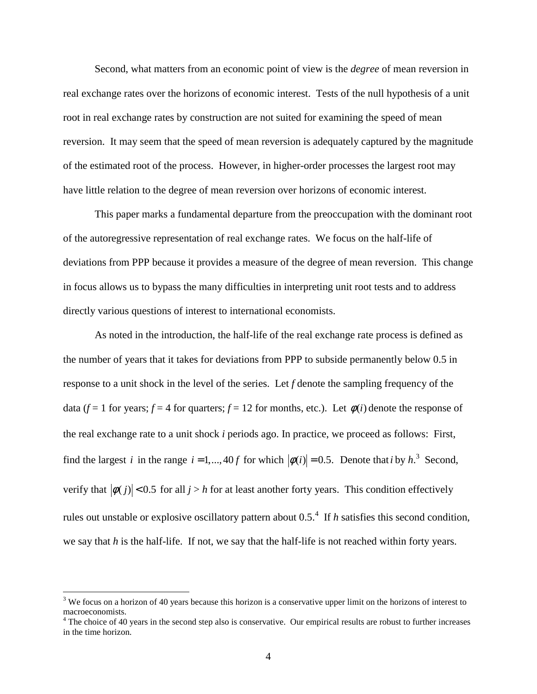Second, what matters from an economic point of view is the *degree* of mean reversion in real exchange rates over the horizons of economic interest. Tests of the null hypothesis of a unit root in real exchange rates by construction are not suited for examining the speed of mean reversion. It may seem that the speed of mean reversion is adequately captured by the magnitude of the estimated root of the process. However, in higher-order processes the largest root may have little relation to the degree of mean reversion over horizons of economic interest.

This paper marks a fundamental departure from the preoccupation with the dominant root of the autoregressive representation of real exchange rates. We focus on the half-life of deviations from PPP because it provides a measure of the degree of mean reversion. This change in focus allows us to bypass the many difficulties in interpreting unit root tests and to address directly various questions of interest to international economists.

As noted in the introduction, the half-life of the real exchange rate process is defined as the number of years that it takes for deviations from PPP to subside permanently below 0.5 in response to a unit shock in the level of the series. Let *f* denote the sampling frequency of the data ( $f = 1$  for years;  $f = 4$  for quarters;  $f = 12$  for months, etc.). Let  $\phi(i)$  denote the response of the real exchange rate to a unit shock *i* periods ago. In practice, we proceed as follows: First, find the largest *i* in the range  $i = 1, ..., 40f$  for which  $|\phi(i)| = 0.5$ . Denote that *i* by  $h^3$ . Second, verify that  $|\phi(j)|$  < 0.5 for all *j* > *h* for at least another forty years. This condition effectively rules out unstable or explosive oscillatory pattern about 0.5.<sup>4</sup> If *h* satisfies this second condition, we say that *h* is the half-life. If not, we say that the half-life is not reached within forty years.

 $\overline{a}$ 

 $3$  We focus on a horizon of 40 years because this horizon is a conservative upper limit on the horizons of interest to macroeconomists.

 $4$  The choice of 40 years in the second step also is conservative. Our empirical results are robust to further increases in the time horizon.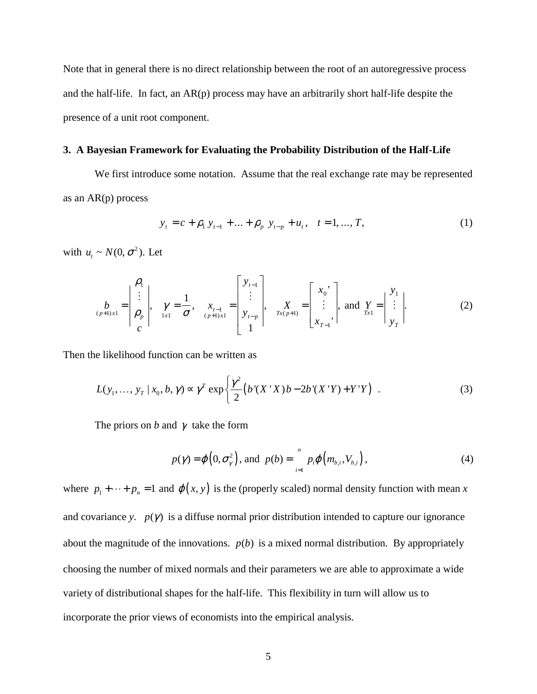Note that in general there is no direct relationship between the root of an autoregressive process and the half-life. In fact, an AR(p) process may have an arbitrarily short half-life despite the presence of a unit root component.

#### **3. A Bayesian Framework for Evaluating the Probability Distribution of the Half-Life**

We first introduce some notation. Assume that the real exchange rate may be represented as an AR(p) process

$$
y_{t} = c + \rho_{1} y_{t-1} + \ldots + \rho_{p} y_{t-p} + u_{t}, \quad t = 1, \ldots, T,
$$
\n(1)

with  $u_t \sim N(0, \sigma^2)$ . Let

$$
\begin{aligned}\n\begin{bmatrix}\n b \\
 b \\
 c\n \end{bmatrix} &= \begin{bmatrix}\n\begin{bmatrix}\n\begin{bmatrix}\n\begin{bmatrix}\n\begin{bmatrix}\n\begin{bmatrix}\n\begin{bmatrix}\n\begin{bmatrix}\n\begin{bmatrix}\n\begin{bmatrix}\n\begin{bmatrix}\n\begin{bmatrix}\n\begin{bmatrix}\n\begin{bmatrix}\n\begin{bmatrix}\n\begin{bmatrix}\n\begin{bmatrix}\n\begin{bmatrix}\n\begin{bmatrix}\n\begin{bmatrix}\n\begin{bmatrix}\n\begin{bmatrix\n\begin{bmatrix}\n\begin{bmatrix}\n\begin{bmatrix}\n\begin{bmatrix}\n\begin{bmatrix}\n\begin{bmatrix}\n\begin{bmatrix}\n\begin{bmatrix}\n\begin{bmatrix}\n\begin{bmatrix}\n\begin{bmatrix}\n\begin{bmatrix}\n\begin{bmatrix}\n\begin{bmatrix}\n\begin{bmatrix}\n\begin{bmatrix}\n\begin{bmatrix}\n\begin{bmatrix}\n\begin{bmatrix}\n\begin{bmatrix}\n\begin{bmatrix}\n\begin{bmatrix}\n\begin{bmatrix}\n\begin{bmatrix}\n\begin{bmatrix}\n\begin{bmatrix}\n\begin{bmatrix}\n\begin{bmatrix}\n\begin{bmatrix}\n\begin{bmatrix}\n\begin{bmatrix}\n\begin{bmatrix}\n\begin{bmatrix}\n\begin{bmatrix}\n\begin{bmatrix}\n\begin{bmatrix}\n\begin{bmatrix}\n\begin{bmatrix}\n\begin{bmatrix}\n\begin{bmatrix}\n\begin{bmatrix}\n\begin{bmatrix}\n\begin{bmatrix}\n\begin{bmatrix}\n\begin{bmatrix}\n\begin{bmatrix}\n\begin{bmatrix}\n\begin{bmatrix}\n\begin{bmatrix}\n\begin{bmatrix}\n\begin{bmatrix}\n\begin{bmatrix}\n\begin{bmatrix}\n\begin{bmatrix}\n\begin{bmatrix}\n\begin{bmatrix}\n\begin{bmatrix}\n\begin{bmatrix}\n\begin{bmatrix}\n\begin{bmatrix}\n\begin{bmatrix}\n\begin{bmatrix}\n\begin{bmatrix}\n\begin{bmatrix}\n\begin{bmatrix}\n\begin{bmatrix}\n\begin{bmatrix}\n\begin{bmatrix}\n\begin{bmatrix}\n\begin{bmatrix}\n\begin{bmatrix}\n\begin{bmatrix}\n\begin{bmatrix}\n\begin{bmatrix}\n\begin{bmatrix}\n\begin{bmatrix}\n\begin{bmatrix}\n\begin{bmatrix}\n\end{bmatrix}\n\end{bmatrix\n\end{bmatrix}\n\end{bmatrix}\n\end{
$$

Then the likelihood function can be written as

$$
L(y_1, ..., y_T | x_0, b, \gamma) \propto \gamma^T \exp\left\{\frac{\gamma^2}{2} (b'(X'X)b - 2b'(X'Y) + Y'Y) \right\}.
$$
 (3)

The priors on *b* and  $\gamma$  take the form

$$
p(\gamma) = \varphi\big(0, \sigma_{\gamma}^2\big), \text{ and } p(b) = \sum_{i=1}^{n} p_i \varphi\big(m_{b,i}, V_{b,i}\big), \tag{4}
$$

where  $p_1 + \cdots + p_n = 1$  and  $\varphi(x, y)$  is the (properly scaled) normal density function with mean *x* and covariance *y*.  $p(\gamma)$  is a diffuse normal prior distribution intended to capture our ignorance about the magnitude of the innovations.  $p(b)$  is a mixed normal distribution. By appropriately choosing the number of mixed normals and their parameters we are able to approximate a wide variety of distributional shapes for the half-life. This flexibility in turn will allow us to incorporate the prior views of economists into the empirical analysis.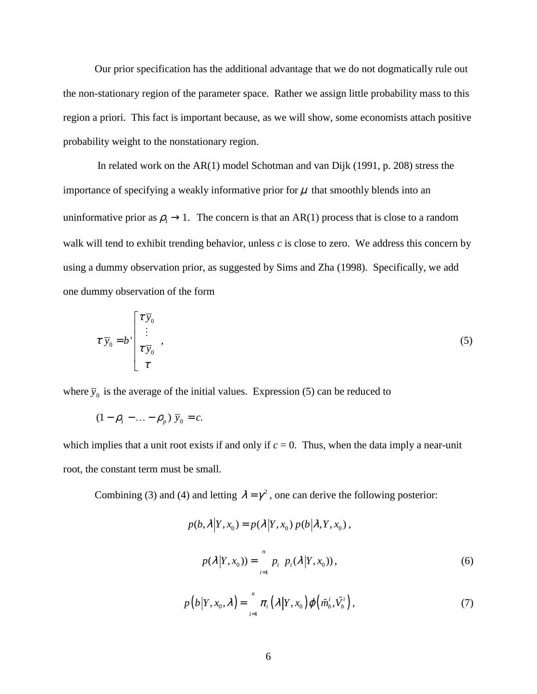Our prior specification has the additional advantage that we do not dogmatically rule out the non-stationary region of the parameter space. Rather we assign little probability mass to this region a priori. This fact is important because, as we will show, some economists attach positive probability weight to the nonstationary region.

 In related work on the AR(1) model Schotman and van Dijk (1991, p. 208) stress the importance of specifying a weakly informative prior for  $\mu$  that smoothly blends into an uninformative prior as  $\rho_1 \rightarrow 1$ . The concern is that an AR(1) process that is close to a random walk will tend to exhibit trending behavior, unless *c* is close to zero. We address this concern by using a dummy observation prior, as suggested by Sims and Zha (1998). Specifically, we add one dummy observation of the form

$$
\tau \overline{y}_0 = b \left[ \begin{matrix} \tau \overline{y}_0 \\ \vdots \\ \tau \overline{y}_0 \\ \tau \end{matrix} \right], \tag{5}
$$

where  $\bar{y}_0$  is the average of the initial values. Expression (5) can be reduced to

$$
(1-\rho_1-\ldots-\rho_p)\,\overline{y}_0=c.
$$

which implies that a unit root exists if and only if  $c = 0$ . Thus, when the data imply a near-unit root, the constant term must be small.

Combining (3) and (4) and letting  $\lambda = \gamma^2$ , one can derive the following posterior:

$$
p(b, \lambda | Y, x_0) = p(\lambda | Y, x_0) p(b | \lambda, Y, x_0),
$$
  

$$
p(\lambda | Y, x_0) = \sum_{i=1}^n p_i \rho_i(\lambda | Y, x_0)),
$$
 (6)

$$
p(b|Y, x_0, \lambda) = \sum_{i=1}^n \pi_i(\lambda|Y, x_0) \varphi(\tilde{m}_b^i, \tilde{V}_b^i), \qquad (7)
$$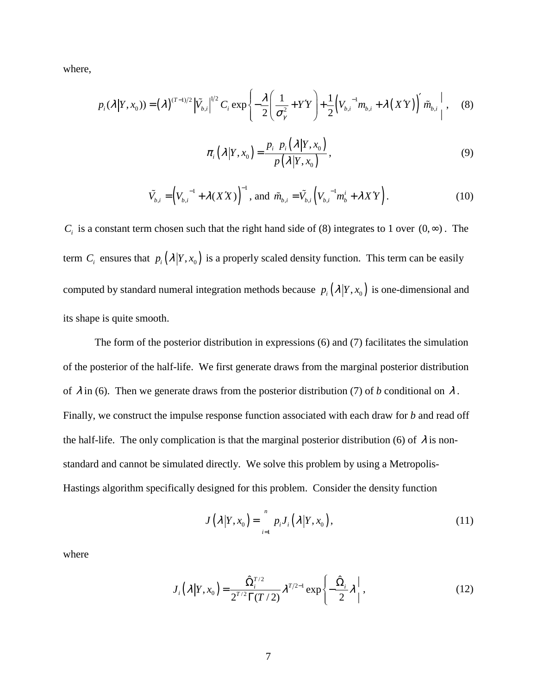where,

$$
p_i(\lambda|Y, x_0) = (\lambda)^{(T-1)/2} |\tilde{V}_{b,i}|^{1/2} C_i \exp\left\{-\frac{\lambda}{2}\left(\frac{1}{\sigma_Y^2} + Y'Y\right) + \frac{1}{2}\left(V_{b,i}^{-1}m_{b,i} + \lambda(X'Y)\right)'\tilde{m}_{b,i}\right\},
$$
 (8)

$$
\pi_i\left(\lambda\big|Y,x_0\right)=\frac{P_i\ P_i\left(\lambda\big|Y,x_0\right)}{P\left(\lambda\big|Y,x_0\right)},\tag{9}
$$

$$
\tilde{V}_{b,i} = (V_{b,i}^{-1} + \lambda (XX))^{1}, \text{ and } \tilde{m}_{b,i} = \tilde{V}_{b,i} (V_{b,i}^{-1} m_b^i + \lambda X Y).
$$
 (10)

*C<sub>i</sub>* is a constant term chosen such that the right hand side of (8) integrates to 1 over  $(0, \infty)$ . The term  $C_i$  ensures that  $p_i(\lambda | Y, x_0)$  is a properly scaled density function. This term can be easily computed by standard numeral integration methods because  $p_i(\lambda | Y, x_0)$  is one-dimensional and its shape is quite smooth.

The form of the posterior distribution in expressions (6) and (7) facilitates the simulation of the posterior of the half-life. We first generate draws from the marginal posterior distribution of  $\lambda$  in (6). Then we generate draws from the posterior distribution (7) of *b* conditional on  $\lambda$ . Finally, we construct the impulse response function associated with each draw for *b* and read off the half-life. The only complication is that the marginal posterior distribution (6) of  $\lambda$  is nonstandard and cannot be simulated directly. We solve this problem by using a Metropolis-Hastings algorithm specifically designed for this problem. Consider the density function

$$
J(\lambda|Y,x_0) = \sum_{i=1}^n p_i J_i(\lambda|Y,x_0), \qquad (11)
$$

where

$$
J_i\left(\lambda\big|Y,x_0\right) = \frac{\hat{\Omega}_i^{T/2}}{2^{T/2}\Gamma(T/2)}\lambda^{T/2-1}\exp\left\{-\frac{\hat{\Omega}_i}{2}\lambda\big|,\tag{12}
$$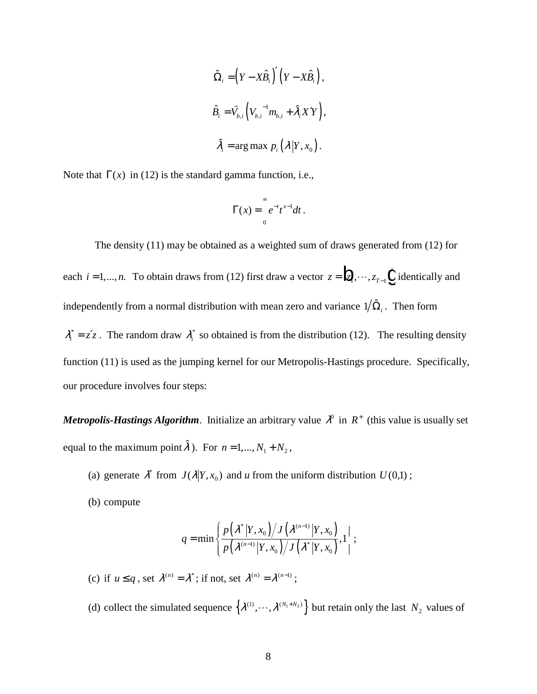$$
\hat{\Omega}_{i} = (Y - X\hat{B}_{i})^{'} (Y - X\hat{B}_{i}),
$$
  

$$
\hat{B}_{i} = \tilde{V}_{b,i} (V_{b,i}^{-1}m_{b,i} + \hat{\lambda}_{i}X^{'}Y),
$$
  

$$
\hat{\lambda}_{i} = \arg \max p_{i} (\lambda|Y, x_{0}).
$$

Note that  $\Gamma(x)$  in (12) is the standard gamma function, i.e.,

$$
\Gamma(x) = \int_{0}^{\infty} e^{-t} t^{x-1} dt.
$$

The density (11) may be obtained as a weighted sum of draws generated from (12) for each *i* = 1,..., *n*. To obtain draws from (12) first draw a vector  $z = \mathbf{Q}, \dots, z_{T-1}$  didentically and independently from a normal distribution with mean zero and variance  $1/\hat{\Omega}_i$ . Then form  $\lambda_i^* = z'z$ . The random draw  $\lambda_i^*$  so obtained is from the distribution (12). The resulting density function (11) is used as the jumping kernel for our Metropolis-Hastings procedure. Specifically, our procedure involves four steps:

*Metropolis-Hastings Algorithm.* Initialize an arbitrary value  $\lambda^0$  in  $R^+$  (this value is usually set equal to the maximum point  $\hat{\lambda}$ ). For  $n = 1, ..., N_1 + N_2$ ,

(a) generate  $\lambda^*$  from  $J(\lambda|Y, x_0)$  and *u* from the uniform distribution  $U(0,1)$ ;

(b) compute

$$
q = \min \left\{ \frac{p\left(\lambda^*|Y,x_0\right)/J\left(\lambda^{(n-1)}|Y,x_0\right)}{p\left(\lambda^{(n-1)}|Y,x_0\right)/J\left(\lambda^*|Y,x_0\right)},1\right|\,;
$$

(c) if  $u \leq q$ , set  $\lambda^{(n)} = \lambda^*$ ; if not, set  $\lambda^{(n)} = \lambda^{(n-1)}$ ;

(d) collect the simulated sequence  $\{\lambda^{(1)}, \dots, \lambda^{(N_1+N_2)}\}$  but retain only the last  $N_2$  values of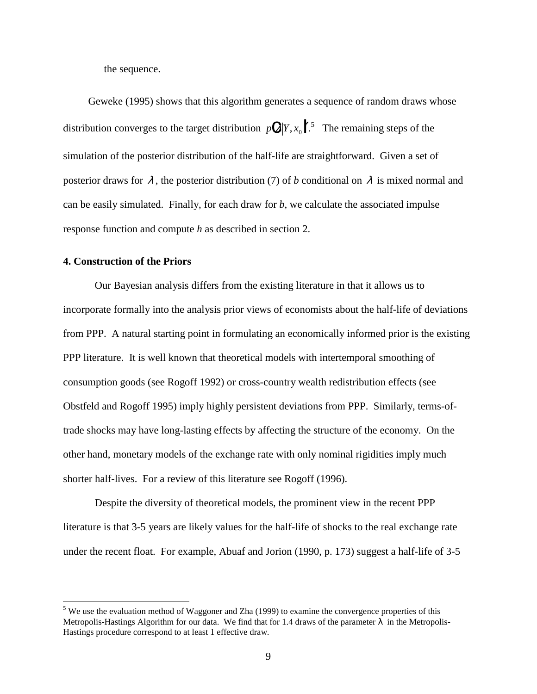the sequence.

Geweke (1995) shows that this algorithm generates a sequence of random draws whose distribution converges to the target distribution  $p\mathbf{C}|Y, x_0$  <sup>5</sup>. The remaining steps of the simulation of the posterior distribution of the half-life are straightforward. Given a set of posterior draws for  $\lambda$ , the posterior distribution (7) of *b* conditional on  $\lambda$  is mixed normal and can be easily simulated. Finally, for each draw for *b*, we calculate the associated impulse response function and compute *h* as described in section 2.

#### **4. Construction of the Priors**

 $\overline{a}$ 

Our Bayesian analysis differs from the existing literature in that it allows us to incorporate formally into the analysis prior views of economists about the half-life of deviations from PPP. A natural starting point in formulating an economically informed prior is the existing PPP literature. It is well known that theoretical models with intertemporal smoothing of consumption goods (see Rogoff 1992) or cross-country wealth redistribution effects (see Obstfeld and Rogoff 1995) imply highly persistent deviations from PPP. Similarly, terms-oftrade shocks may have long-lasting effects by affecting the structure of the economy. On the other hand, monetary models of the exchange rate with only nominal rigidities imply much shorter half-lives. For a review of this literature see Rogoff (1996).

Despite the diversity of theoretical models, the prominent view in the recent PPP literature is that 3-5 years are likely values for the half-life of shocks to the real exchange rate under the recent float. For example, Abuaf and Jorion (1990, p. 173) suggest a half-life of 3-5

 $<sup>5</sup>$  We use the evaluation method of Waggoner and Zha (1999) to examine the convergence properties of this</sup> Metropolis-Hastings Algorithm for our data. We find that for 1.4 draws of the parameter  $\lambda$  in the Metropolis-Hastings procedure correspond to at least 1 effective draw.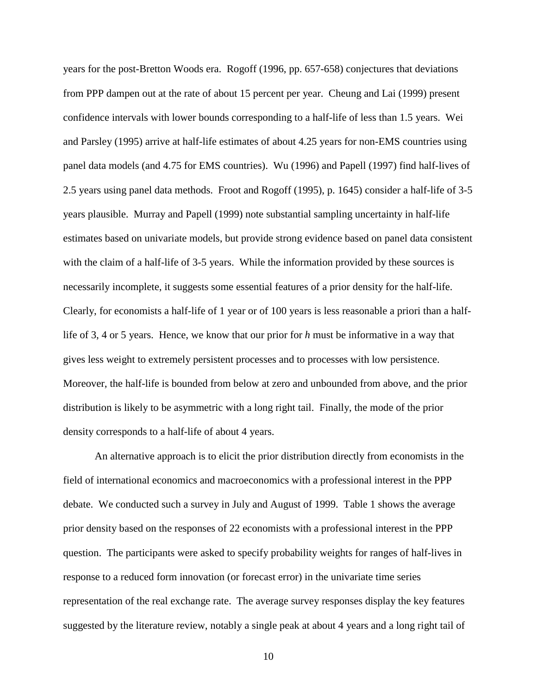years for the post-Bretton Woods era. Rogoff (1996, pp. 657-658) conjectures that deviations from PPP dampen out at the rate of about 15 percent per year. Cheung and Lai (1999) present confidence intervals with lower bounds corresponding to a half-life of less than 1.5 years. Wei and Parsley (1995) arrive at half-life estimates of about 4.25 years for non-EMS countries using panel data models (and 4.75 for EMS countries). Wu (1996) and Papell (1997) find half-lives of 2.5 years using panel data methods. Froot and Rogoff (1995), p. 1645) consider a half-life of 3-5 years plausible. Murray and Papell (1999) note substantial sampling uncertainty in half-life estimates based on univariate models, but provide strong evidence based on panel data consistent with the claim of a half-life of 3-5 years. While the information provided by these sources is necessarily incomplete, it suggests some essential features of a prior density for the half-life. Clearly, for economists a half-life of 1 year or of 100 years is less reasonable a priori than a halflife of 3, 4 or 5 years. Hence, we know that our prior for *h* must be informative in a way that gives less weight to extremely persistent processes and to processes with low persistence. Moreover, the half-life is bounded from below at zero and unbounded from above, and the prior distribution is likely to be asymmetric with a long right tail. Finally, the mode of the prior density corresponds to a half-life of about 4 years.

An alternative approach is to elicit the prior distribution directly from economists in the field of international economics and macroeconomics with a professional interest in the PPP debate. We conducted such a survey in July and August of 1999. Table 1 shows the average prior density based on the responses of 22 economists with a professional interest in the PPP question. The participants were asked to specify probability weights for ranges of half-lives in response to a reduced form innovation (or forecast error) in the univariate time series representation of the real exchange rate. The average survey responses display the key features suggested by the literature review, notably a single peak at about 4 years and a long right tail of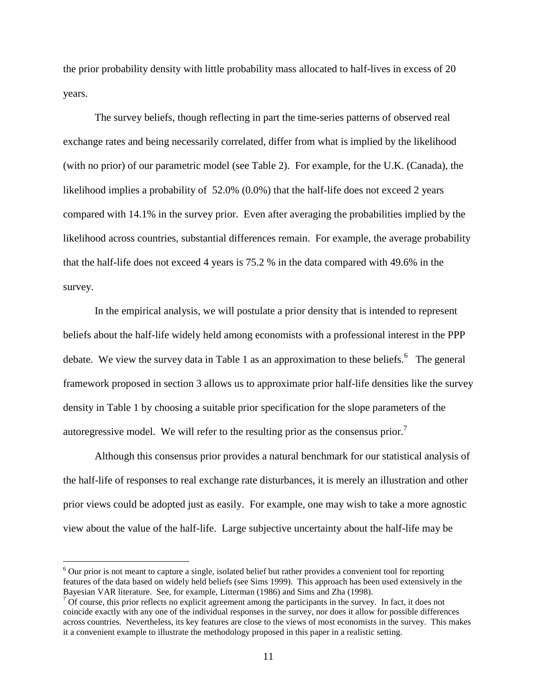the prior probability density with little probability mass allocated to half-lives in excess of 20 years.

The survey beliefs, though reflecting in part the time-series patterns of observed real exchange rates and being necessarily correlated, differ from what is implied by the likelihood (with no prior) of our parametric model (see Table 2). For example, for the U.K. (Canada), the likelihood implies a probability of 52.0% (0.0%) that the half-life does not exceed 2 years compared with 14.1% in the survey prior. Even after averaging the probabilities implied by the likelihood across countries, substantial differences remain. For example, the average probability that the half-life does not exceed 4 years is 75.2 % in the data compared with 49.6% in the survey.

In the empirical analysis, we will postulate a prior density that is intended to represent beliefs about the half-life widely held among economists with a professional interest in the PPP debate. We view the survey data in Table 1 as an approximation to these beliefs.<sup>6</sup> The general framework proposed in section 3 allows us to approximate prior half-life densities like the survey density in Table 1 by choosing a suitable prior specification for the slope parameters of the autoregressive model. We will refer to the resulting prior as the consensus prior.<sup>7</sup>

Although this consensus prior provides a natural benchmark for our statistical analysis of the half-life of responses to real exchange rate disturbances, it is merely an illustration and other prior views could be adopted just as easily. For example, one may wish to take a more agnostic view about the value of the half-life. Large subjective uncertainty about the half-life may be

 $\overline{a}$ 

<sup>&</sup>lt;sup>6</sup> Our prior is not meant to capture a single, isolated belief but rather provides a convenient tool for reporting features of the data based on widely held beliefs (see Sims 1999). This approach has been used extensively in the Bayesian VAR literature. See, for example, Litterman (1986) and Sims and Zha (1998).

 $<sup>7</sup>$  Of course, this prior reflects no explicit agreement among the participants in the survey. In fact, it does not</sup> coincide exactly with any one of the individual responses in the survey, nor does it allow for possible differences across countries. Nevertheless, its key features are close to the views of most economists in the survey. This makes it a convenient example to illustrate the methodology proposed in this paper in a realistic setting.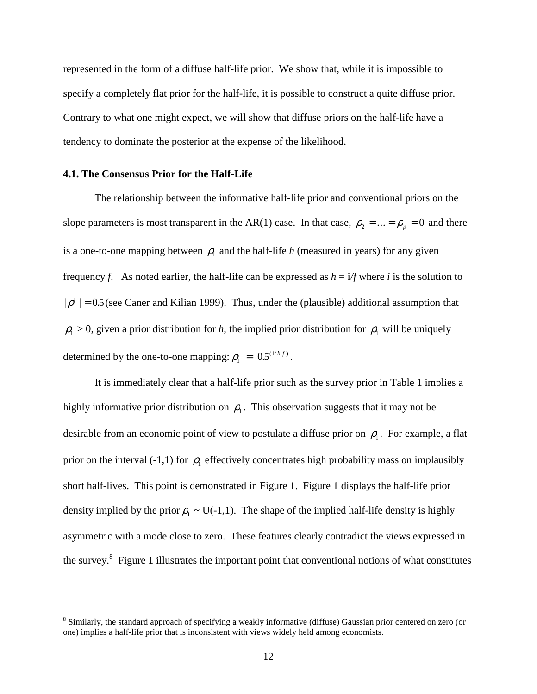represented in the form of a diffuse half-life prior. We show that, while it is impossible to specify a completely flat prior for the half-life, it is possible to construct a quite diffuse prior. Contrary to what one might expect, we will show that diffuse priors on the half-life have a tendency to dominate the posterior at the expense of the likelihood.

#### **4.1. The Consensus Prior for the Half-Life**

The relationship between the informative half-life prior and conventional priors on the slope parameters is most transparent in the AR(1) case. In that case,  $\rho_2 = ... = \rho_p = 0$  and there is a one-to-one mapping between  $\rho_1$  and the half-life *h* (measured in years) for any given frequency *f*. As noted earlier, the half-life can be expressed as  $h = i/f$  where *i* is the solution to  $|\rho^i|$  = 0.5 (see Caner and Kilian 1999). Thus, under the (plausible) additional assumption that  $\rho_1 > 0$ , given a prior distribution for *h*, the implied prior distribution for  $\rho_1$  will be uniquely determined by the one-to-one mapping:  $\rho_1 = 0.5^{(1/hf)}$ .

It is immediately clear that a half-life prior such as the survey prior in Table 1 implies a highly informative prior distribution on  $\rho_1$ . This observation suggests that it may not be desirable from an economic point of view to postulate a diffuse prior on  $\rho_1$ . For example, a flat prior on the interval (-1,1) for  $\rho_1$  effectively concentrates high probability mass on implausibly short half-lives. This point is demonstrated in Figure 1. Figure 1 displays the half-life prior density implied by the prior  $\rho_1 \sim U(-1,1)$ . The shape of the implied half-life density is highly asymmetric with a mode close to zero. These features clearly contradict the views expressed in the survey.<sup>8</sup> Figure 1 illustrates the important point that conventional notions of what constitutes

<sup>&</sup>lt;sup>8</sup> Similarly, the standard approach of specifying a weakly informative (diffuse) Gaussian prior centered on zero (or one) implies a half-life prior that is inconsistent with views widely held among economists.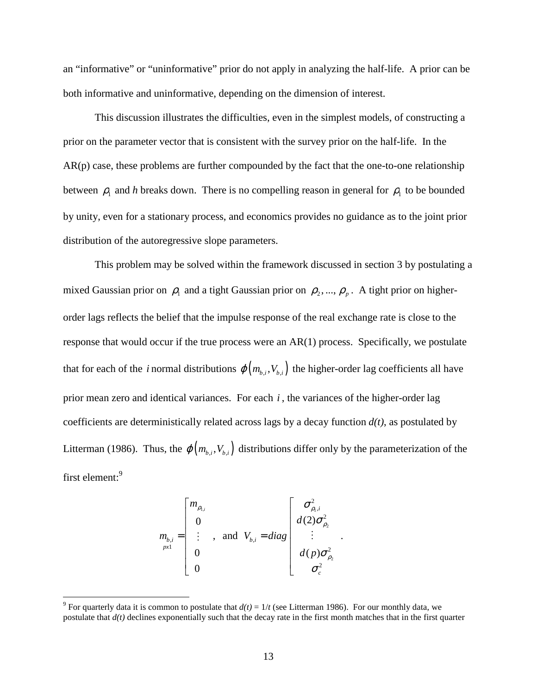an "informative" or "uninformative" prior do not apply in analyzing the half-life. A prior can be both informative and uninformative, depending on the dimension of interest.

This discussion illustrates the difficulties, even in the simplest models, of constructing a prior on the parameter vector that is consistent with the survey prior on the half-life. In the AR(p) case, these problems are further compounded by the fact that the one-to-one relationship between  $\rho_1$  and *h* breaks down. There is no compelling reason in general for  $\rho_1$  to be bounded by unity, even for a stationary process, and economics provides no guidance as to the joint prior distribution of the autoregressive slope parameters.

This problem may be solved within the framework discussed in section 3 by postulating a mixed Gaussian prior on  $\rho_1$  and a tight Gaussian prior on  $\rho_2, ..., \rho_p$ . A tight prior on higherorder lags reflects the belief that the impulse response of the real exchange rate is close to the response that would occur if the true process were an AR(1) process. Specifically, we postulate that for each of the *i* normal distributions  $\varphi \big( m_{b,i}, V_{b,i} \big)$  the higher-order lag coefficients all have prior mean zero and identical variances. For each *i* , the variances of the higher-order lag coefficients are deterministically related across lags by a decay function *d(t)*, as postulated by Litterman (1986). Thus, the  $\varphi \left( m_{b,i}, V_{b,i} \right)$  distributions differ only by the parameterization of the first element:<sup>9</sup>

$$
m_{b,i} = \begin{bmatrix} m_{\rho_{1,i}} & & \\ 0 & & \\ \vdots & , & \text{and} & V_{b,i} = diag \\ 0 & & \\ 0 & & \\ 0 & & \\ 0 & & \\ 0 & & \\ \end{bmatrix} \begin{matrix} \sigma_{\rho_{1,i}}^{2} & & \\ d(2)\sigma_{\rho_{2}}^{2} & & \\ \vdots & & \\ d(p)\sigma_{\rho_{2}}^{2} & & \\ \sigma_{c}^{2} & & \\ 0 & & \\ 0 & & \\ 0 & & \\ \end{matrix}
$$

 $\overline{a}$ 

.

<sup>&</sup>lt;sup>9</sup> For quarterly data it is common to postulate that  $d(t) = 1/t$  (see Litterman 1986). For our monthly data, we postulate that *d(t)* declines exponentially such that the decay rate in the first month matches that in the first quarter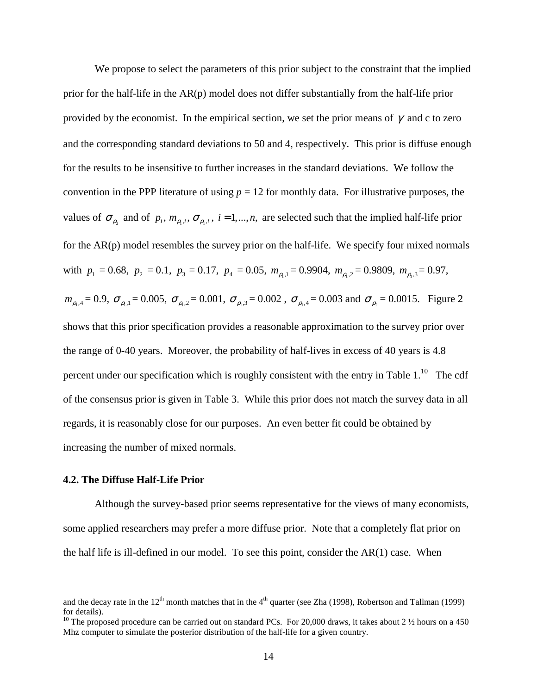We propose to select the parameters of this prior subject to the constraint that the implied prior for the half-life in the AR(p) model does not differ substantially from the half-life prior provided by the economist. In the empirical section, we set the prior means of  $\gamma$  and c to zero and the corresponding standard deviations to 50 and 4, respectively. This prior is diffuse enough for the results to be insensitive to further increases in the standard deviations. We follow the convention in the PPP literature of using  $p = 12$  for monthly data. For illustrative purposes, the values of  $\sigma_{\rho}$ , and of  $p_i$ ,  $m_{\rho}$ ,  $\sigma_{\rho}$ ,  $i = 1,...,n$ , are selected such that the implied half-life prior for the AR(p) model resembles the survey prior on the half-life. We specify four mixed normals with  $p_1 = 0.68$ ,  $p_2 = 0.1$ ,  $p_3 = 0.17$ ,  $p_4 = 0.05$ ,  $m_{\rho_1,1} = 0.9904$ ,  $m_{\rho_1,2} = 0.9809$ ,  $m_{\rho_1,3} = 0.97$ ,  $m_{\rho_1,4} = 0.9$ ,  $\sigma_{\rho_1,1} = 0.005$ ,  $\sigma_{\rho_1,2} = 0.001$ ,  $\sigma_{\rho_1,3} = 0.002$ ,  $\sigma_{\rho_1,4} = 0.003$  and  $\sigma_{\rho_2} = 0.0015$ . Figure 2 shows that this prior specification provides a reasonable approximation to the survey prior over the range of 0-40 years. Moreover, the probability of half-lives in excess of 40 years is 4.8 percent under our specification which is roughly consistent with the entry in Table  $1.^{10}$  The cdf of the consensus prior is given in Table 3. While this prior does not match the survey data in all regards, it is reasonably close for our purposes. An even better fit could be obtained by increasing the number of mixed normals.

#### **4.2. The Diffuse Half-Life Prior**

Although the survey-based prior seems representative for the views of many economists, some applied researchers may prefer a more diffuse prior. Note that a completely flat prior on the half life is ill-defined in our model. To see this point, consider the AR(1) case. When

and the decay rate in the  $12^{th}$  month matches that in the  $4^{th}$  quarter (see Zha (1998), Robertson and Tallman (1999) for details).

<sup>&</sup>lt;sup>10</sup> The proposed procedure can be carried out on standard PCs. For 20,000 draws, it takes about 2  $\frac{1}{2}$  hours on a 450 Mhz computer to simulate the posterior distribution of the half-life for a given country.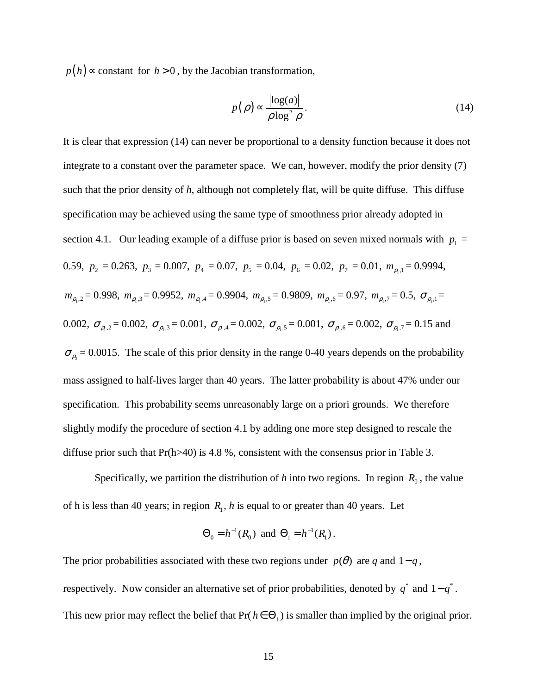$p(h) \propto$  constant for  $h > 0$ , by the Jacobian transformation,

$$
p(\rho) \propto \frac{|\log(a)|}{\rho \log^2 \rho}.
$$
 (14)

It is clear that expression (14) can never be proportional to a density function because it does not integrate to a constant over the parameter space. We can, however, modify the prior density (7) such that the prior density of *h*, although not completely flat, will be quite diffuse. This diffuse specification may be achieved using the same type of smoothness prior already adopted in section 4.1. Our leading example of a diffuse prior is based on seven mixed normals with  $p_1 =$ 0.59,  $p_2 = 0.263$ ,  $p_3 = 0.007$ ,  $p_4 = 0.07$ ,  $p_5 = 0.04$ ,  $p_6 = 0.02$ ,  $p_7 = 0.01$ ,  $m_{p,1} = 0.9994$ ,  $m_{\rho_1,2} = 0.998$ ,  $m_{\rho_1,3} = 0.9952$ ,  $m_{\rho_1,4} = 0.9904$ ,  $m_{\rho_1,5} = 0.9809$ ,  $m_{\rho_1,6} = 0.97$ ,  $m_{\rho_1,7} = 0.5$ ,  $\sigma_{\rho_1,1} =$ 0.002,  $\sigma_{p_1,2} = 0.002$ ,  $\sigma_{p_1,3} = 0.001$ ,  $\sigma_{p_1,4} = 0.002$ ,  $\sigma_{p_1,5} = 0.001$ ,  $\sigma_{p_1,6} = 0.002$ ,  $\sigma_{p_1,7} = 0.15$  and  $\sigma_{p_2}$  = 0.0015. The scale of this prior density in the range 0-40 years depends on the probability mass assigned to half-lives larger than 40 years. The latter probability is about 47% under our specification. This probability seems unreasonably large on a priori grounds. We therefore slightly modify the procedure of section 4.1 by adding one more step designed to rescale the diffuse prior such that Pr(h>40) is 4.8 %, consistent with the consensus prior in Table 3.

Specifically, we partition the distribution of *h* into two regions. In region  $R_0$ , the value of h is less than 40 years; in region  $R_1$ , h is equal to or greater than 40 years. Let

$$
\Theta_0 = h^{-1}(R_0)
$$
 and  $\Theta_1 = h^{-1}(R_1)$ .

The prior probabilities associated with these two regions under  $p(\theta)$  are *q* and 1−*q*, respectively. Now consider an alternative set of prior probabilities, denoted by  $q^*$  and  $1-q^*$ . This new prior may reflect the belief that  $Pr(h \in \Theta_1)$  is smaller than implied by the original prior.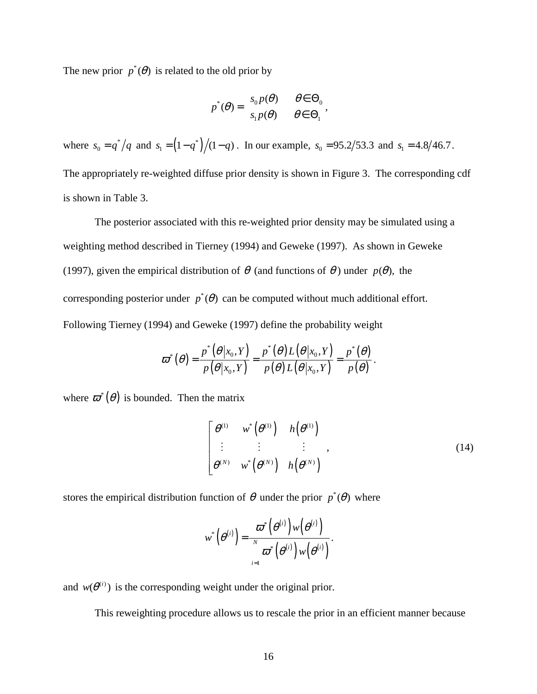The new prior  $p^*(\theta)$  is related to the old prior by

$$
p^*(\theta) = \begin{array}{cc} s_0 p(\theta) & \theta \in \Theta_0 \\ s_1 p(\theta) & \theta \in \Theta_1 \end{array},
$$

where  $s_0 = q^*/q$  and  $s_1 = (1 - q^*)/(1 - q)$ . In our example,  $s_0 = 95.2/53.3$  and  $s_1 = 4.8/46.7$ . The appropriately re-weighted diffuse prior density is shown in Figure 3. The corresponding cdf is shown in Table 3.

The posterior associated with this re-weighted prior density may be simulated using a weighting method described in Tierney (1994) and Geweke (1997). As shown in Geweke (1997), given the empirical distribution of  $\theta$  (and functions of  $\theta$ ) under  $p(\theta)$ , the corresponding posterior under  $p^*(\theta)$  can be computed without much additional effort. Following Tierney (1994) and Geweke (1997) define the probability weight

$$
\boldsymbol{\varpi}^*(\boldsymbol{\theta}) = \frac{p^*\big(\boldsymbol{\theta}\big| x_0, Y\big)}{p\big(\boldsymbol{\theta}\big| x_0, Y\big)} = \frac{p^*\big(\boldsymbol{\theta}\big)L\big(\boldsymbol{\theta}\big| x_0, Y\big)}{p\big(\boldsymbol{\theta}\big)L\big(\boldsymbol{\theta}\big| x_0, Y\big)} = \frac{p^*\big(\boldsymbol{\theta}\big)}{p\big(\boldsymbol{\theta}\big)}.
$$

where  $\boldsymbol{\varpi}^*(\boldsymbol{\theta})$  is bounded. Then the matrix

$$
\begin{bmatrix}\n\theta^{(1)} & w^*\left(\theta^{(1)}\right) & h\left(\theta^{(1)}\right) \\
\vdots & \vdots & \vdots \\
\theta^{(N)} & w^*\left(\theta^{(N)}\right) & h\left(\theta^{(N)}\right)\n\end{bmatrix} \tag{14}
$$

stores the empirical distribution function of  $\theta$  under the prior  $p^*(\theta)$  where

$$
w^*\left(\boldsymbol{\theta}^{(i)}\right) = \frac{\boldsymbol{\varpi}^*\left(\boldsymbol{\theta}^{(i)}\right)w\left(\boldsymbol{\theta}^{(i)}\right)}{\boldsymbol{\varpi}^*\left(\boldsymbol{\theta}^{(i)}\right)w\left(\boldsymbol{\theta}^{(i)}\right)}.
$$

and  $w(\theta^{(i)})$  is the corresponding weight under the original prior.

This reweighting procedure allows us to rescale the prior in an efficient manner because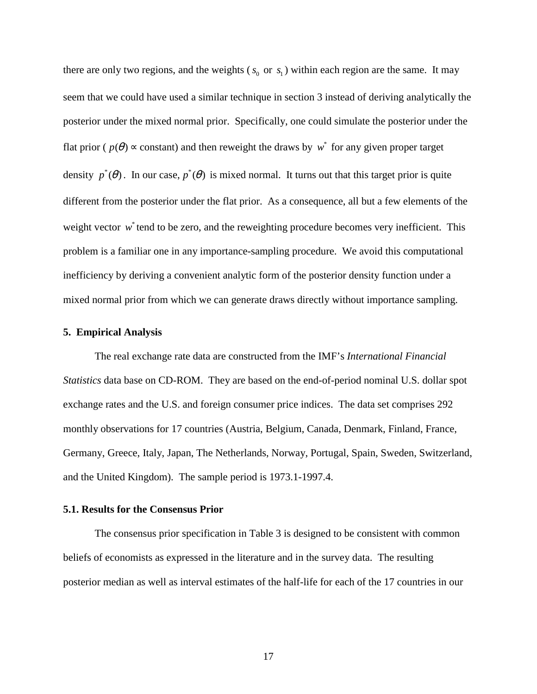there are only two regions, and the weights ( $s_0$  or  $s_1$ ) within each region are the same. It may seem that we could have used a similar technique in section 3 instead of deriving analytically the posterior under the mixed normal prior. Specifically, one could simulate the posterior under the flat prior ( $p(\theta)$   $\propto$  constant) and then reweight the draws by w<sup>\*</sup> for any given proper target density  $p^*(\theta)$ . In our case,  $p^*(\theta)$  is mixed normal. It turns out that this target prior is quite different from the posterior under the flat prior. As a consequence, all but a few elements of the weight vector  $w^*$  tend to be zero, and the reweighting procedure becomes very inefficient. This problem is a familiar one in any importance-sampling procedure. We avoid this computational inefficiency by deriving a convenient analytic form of the posterior density function under a mixed normal prior from which we can generate draws directly without importance sampling.

#### **5. Empirical Analysis**

The real exchange rate data are constructed from the IMF's *International Financial Statistics* data base on CD-ROM. They are based on the end-of-period nominal U.S. dollar spot exchange rates and the U.S. and foreign consumer price indices. The data set comprises 292 monthly observations for 17 countries (Austria, Belgium, Canada, Denmark, Finland, France, Germany, Greece, Italy, Japan, The Netherlands, Norway, Portugal, Spain, Sweden, Switzerland, and the United Kingdom). The sample period is 1973.1-1997.4.

#### **5.1. Results for the Consensus Prior**

The consensus prior specification in Table 3 is designed to be consistent with common beliefs of economists as expressed in the literature and in the survey data. The resulting posterior median as well as interval estimates of the half-life for each of the 17 countries in our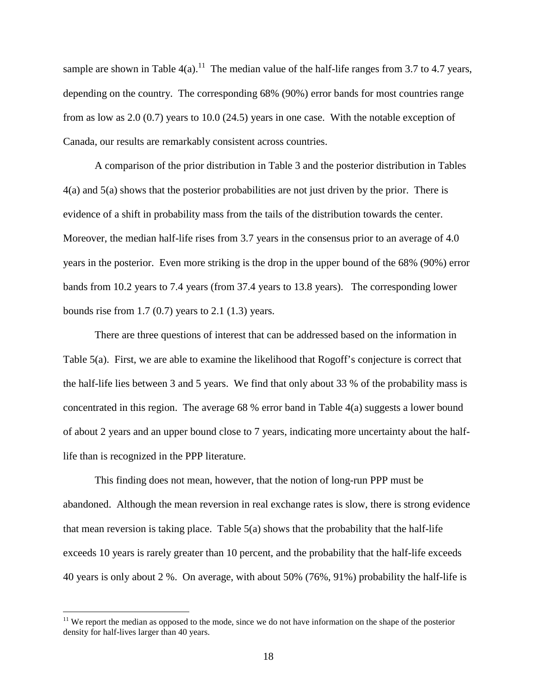sample are shown in Table 4(a).<sup>11</sup> The median value of the half-life ranges from 3.7 to 4.7 years, depending on the country. The corresponding 68% (90%) error bands for most countries range from as low as 2.0 (0.7) years to 10.0 (24.5) years in one case. With the notable exception of Canada, our results are remarkably consistent across countries.

A comparison of the prior distribution in Table 3 and the posterior distribution in Tables 4(a) and 5(a) shows that the posterior probabilities are not just driven by the prior. There is evidence of a shift in probability mass from the tails of the distribution towards the center. Moreover, the median half-life rises from 3.7 years in the consensus prior to an average of 4.0 years in the posterior. Even more striking is the drop in the upper bound of the 68% (90%) error bands from 10.2 years to 7.4 years (from 37.4 years to 13.8 years). The corresponding lower bounds rise from  $1.7(0.7)$  years to  $2.1(1.3)$  years.

There are three questions of interest that can be addressed based on the information in Table 5(a). First, we are able to examine the likelihood that Rogoff's conjecture is correct that the half-life lies between 3 and 5 years. We find that only about 33 % of the probability mass is concentrated in this region. The average 68 % error band in Table 4(a) suggests a lower bound of about 2 years and an upper bound close to 7 years, indicating more uncertainty about the halflife than is recognized in the PPP literature.

This finding does not mean, however, that the notion of long-run PPP must be abandoned. Although the mean reversion in real exchange rates is slow, there is strong evidence that mean reversion is taking place. Table  $5(a)$  shows that the probability that the half-life exceeds 10 years is rarely greater than 10 percent, and the probability that the half-life exceeds 40 years is only about 2 %. On average, with about 50% (76%, 91%) probability the half-life is

 $11$  We report the median as opposed to the mode, since we do not have information on the shape of the posterior density for half-lives larger than 40 years.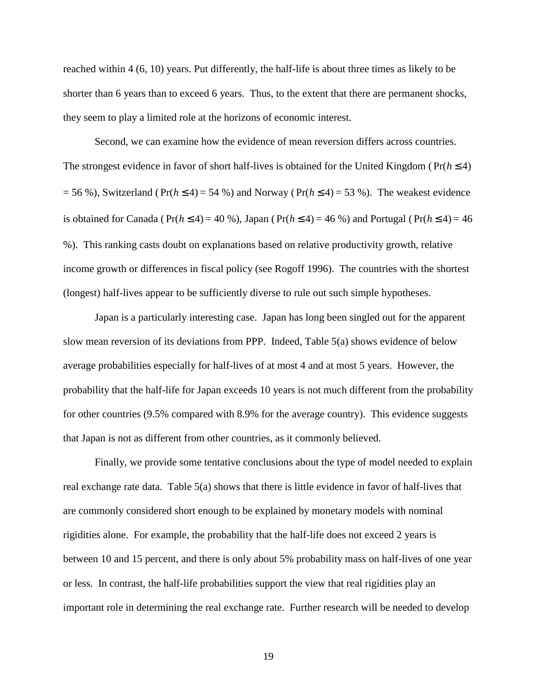reached within 4 (6, 10) years. Put differently, the half-life is about three times as likely to be shorter than 6 years than to exceed 6 years. Thus, to the extent that there are permanent shocks, they seem to play a limited role at the horizons of economic interest.

Second, we can examine how the evidence of mean reversion differs across countries. The strongest evidence in favor of short half-lives is obtained for the United Kingdom ( $Pr(h \le 4)$ )  $= 56 \%$ ), Switzerland ( $Pr(h \le 4) = 54 \%$ ) and Norway ( $Pr(h \le 4) = 53 \%$ ). The weakest evidence is obtained for Canada ( $Pr(h \le 4) = 40$  %), Japan ( $Pr(h \le 4) = 46$  %) and Portugal ( $Pr(h \le 4) = 46$ %). This ranking casts doubt on explanations based on relative productivity growth, relative income growth or differences in fiscal policy (see Rogoff 1996). The countries with the shortest (longest) half-lives appear to be sufficiently diverse to rule out such simple hypotheses.

Japan is a particularly interesting case. Japan has long been singled out for the apparent slow mean reversion of its deviations from PPP. Indeed, Table 5(a) shows evidence of below average probabilities especially for half-lives of at most 4 and at most 5 years. However, the probability that the half-life for Japan exceeds 10 years is not much different from the probability for other countries (9.5% compared with 8.9% for the average country). This evidence suggests that Japan is not as different from other countries, as it commonly believed.

Finally, we provide some tentative conclusions about the type of model needed to explain real exchange rate data. Table 5(a) shows that there is little evidence in favor of half-lives that are commonly considered short enough to be explained by monetary models with nominal rigidities alone. For example, the probability that the half-life does not exceed 2 years is between 10 and 15 percent, and there is only about 5% probability mass on half-lives of one year or less. In contrast, the half-life probabilities support the view that real rigidities play an important role in determining the real exchange rate. Further research will be needed to develop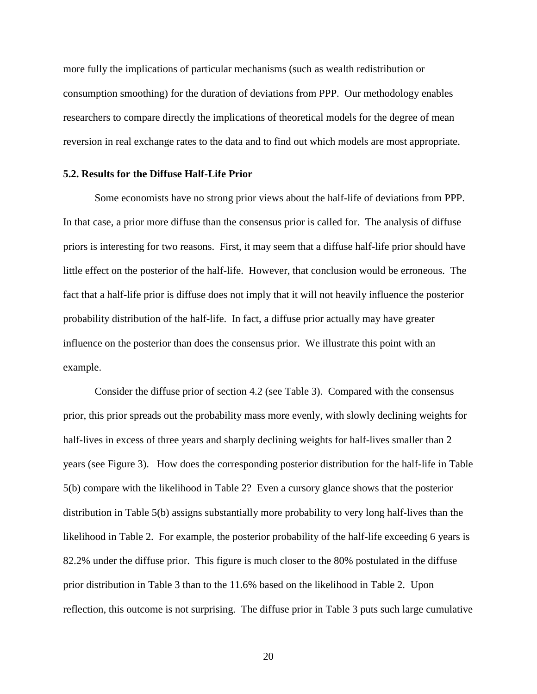more fully the implications of particular mechanisms (such as wealth redistribution or consumption smoothing) for the duration of deviations from PPP. Our methodology enables researchers to compare directly the implications of theoretical models for the degree of mean reversion in real exchange rates to the data and to find out which models are most appropriate.

#### **5.2. Results for the Diffuse Half-Life Prior**

Some economists have no strong prior views about the half-life of deviations from PPP. In that case, a prior more diffuse than the consensus prior is called for. The analysis of diffuse priors is interesting for two reasons. First, it may seem that a diffuse half-life prior should have little effect on the posterior of the half-life. However, that conclusion would be erroneous. The fact that a half-life prior is diffuse does not imply that it will not heavily influence the posterior probability distribution of the half-life. In fact, a diffuse prior actually may have greater influence on the posterior than does the consensus prior. We illustrate this point with an example.

Consider the diffuse prior of section 4.2 (see Table 3). Compared with the consensus prior, this prior spreads out the probability mass more evenly, with slowly declining weights for half-lives in excess of three years and sharply declining weights for half-lives smaller than 2 years (see Figure 3). How does the corresponding posterior distribution for the half-life in Table 5(b) compare with the likelihood in Table 2? Even a cursory glance shows that the posterior distribution in Table 5(b) assigns substantially more probability to very long half-lives than the likelihood in Table 2. For example, the posterior probability of the half-life exceeding 6 years is 82.2% under the diffuse prior. This figure is much closer to the 80% postulated in the diffuse prior distribution in Table 3 than to the 11.6% based on the likelihood in Table 2. Upon reflection, this outcome is not surprising. The diffuse prior in Table 3 puts such large cumulative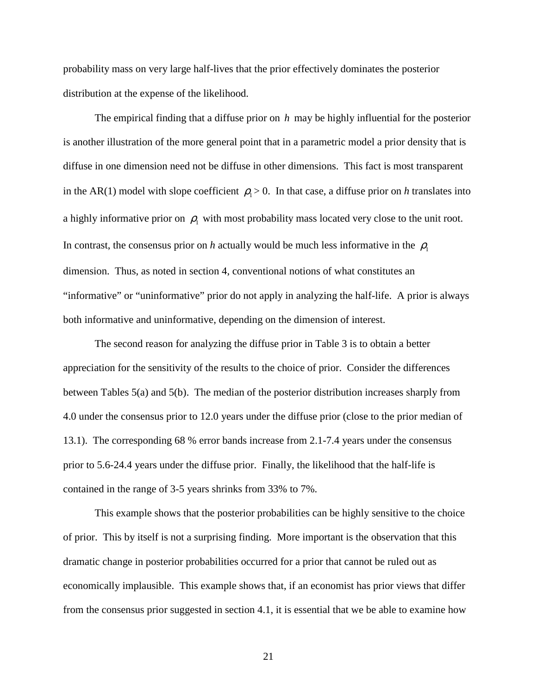probability mass on very large half-lives that the prior effectively dominates the posterior distribution at the expense of the likelihood.

The empirical finding that a diffuse prior on *h* may be highly influential for the posterior is another illustration of the more general point that in a parametric model a prior density that is diffuse in one dimension need not be diffuse in other dimensions. This fact is most transparent in the AR(1) model with slope coefficient  $\rho_1 > 0$ . In that case, a diffuse prior on *h* translates into a highly informative prior on  $\rho_1$  with most probability mass located very close to the unit root. In contrast, the consensus prior on *h* actually would be much less informative in the  $\rho_1$ dimension. Thus, as noted in section 4, conventional notions of what constitutes an "informative" or "uninformative" prior do not apply in analyzing the half-life. A prior is always both informative and uninformative, depending on the dimension of interest.

The second reason for analyzing the diffuse prior in Table 3 is to obtain a better appreciation for the sensitivity of the results to the choice of prior. Consider the differences between Tables 5(a) and 5(b). The median of the posterior distribution increases sharply from 4.0 under the consensus prior to 12.0 years under the diffuse prior (close to the prior median of 13.1). The corresponding 68 % error bands increase from 2.1-7.4 years under the consensus prior to 5.6-24.4 years under the diffuse prior. Finally, the likelihood that the half-life is contained in the range of 3-5 years shrinks from 33% to 7%.

This example shows that the posterior probabilities can be highly sensitive to the choice of prior. This by itself is not a surprising finding. More important is the observation that this dramatic change in posterior probabilities occurred for a prior that cannot be ruled out as economically implausible. This example shows that, if an economist has prior views that differ from the consensus prior suggested in section 4.1, it is essential that we be able to examine how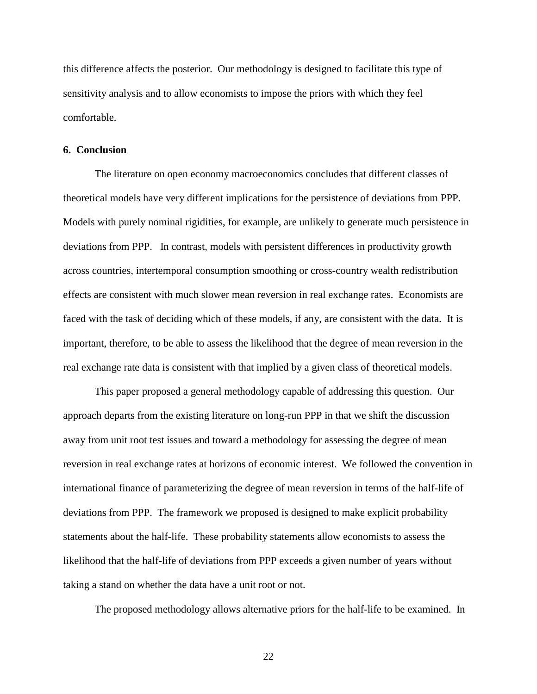this difference affects the posterior. Our methodology is designed to facilitate this type of sensitivity analysis and to allow economists to impose the priors with which they feel comfortable.

#### **6. Conclusion**

The literature on open economy macroeconomics concludes that different classes of theoretical models have very different implications for the persistence of deviations from PPP. Models with purely nominal rigidities, for example, are unlikely to generate much persistence in deviations from PPP. In contrast, models with persistent differences in productivity growth across countries, intertemporal consumption smoothing or cross-country wealth redistribution effects are consistent with much slower mean reversion in real exchange rates. Economists are faced with the task of deciding which of these models, if any, are consistent with the data. It is important, therefore, to be able to assess the likelihood that the degree of mean reversion in the real exchange rate data is consistent with that implied by a given class of theoretical models.

This paper proposed a general methodology capable of addressing this question. Our approach departs from the existing literature on long-run PPP in that we shift the discussion away from unit root test issues and toward a methodology for assessing the degree of mean reversion in real exchange rates at horizons of economic interest. We followed the convention in international finance of parameterizing the degree of mean reversion in terms of the half-life of deviations from PPP. The framework we proposed is designed to make explicit probability statements about the half-life. These probability statements allow economists to assess the likelihood that the half-life of deviations from PPP exceeds a given number of years without taking a stand on whether the data have a unit root or not.

The proposed methodology allows alternative priors for the half-life to be examined. In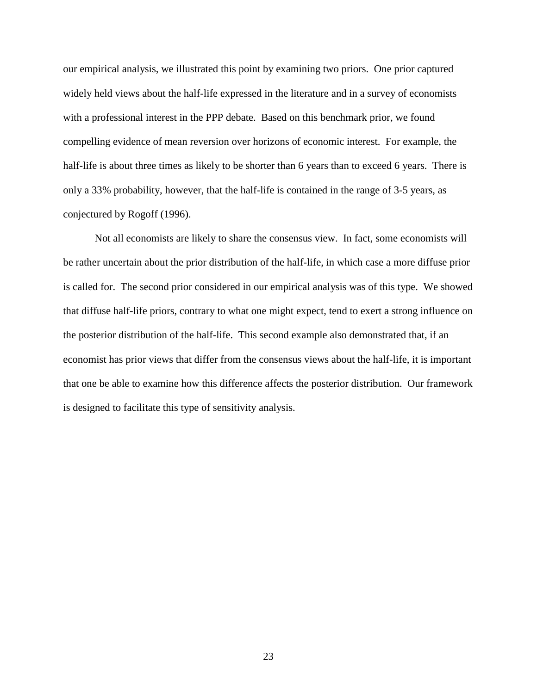our empirical analysis, we illustrated this point by examining two priors. One prior captured widely held views about the half-life expressed in the literature and in a survey of economists with a professional interest in the PPP debate. Based on this benchmark prior, we found compelling evidence of mean reversion over horizons of economic interest. For example, the half-life is about three times as likely to be shorter than 6 years than to exceed 6 years. There is only a 33% probability, however, that the half-life is contained in the range of 3-5 years, as conjectured by Rogoff (1996).

Not all economists are likely to share the consensus view. In fact, some economists will be rather uncertain about the prior distribution of the half-life, in which case a more diffuse prior is called for. The second prior considered in our empirical analysis was of this type. We showed that diffuse half-life priors, contrary to what one might expect, tend to exert a strong influence on the posterior distribution of the half-life. This second example also demonstrated that, if an economist has prior views that differ from the consensus views about the half-life, it is important that one be able to examine how this difference affects the posterior distribution. Our framework is designed to facilitate this type of sensitivity analysis.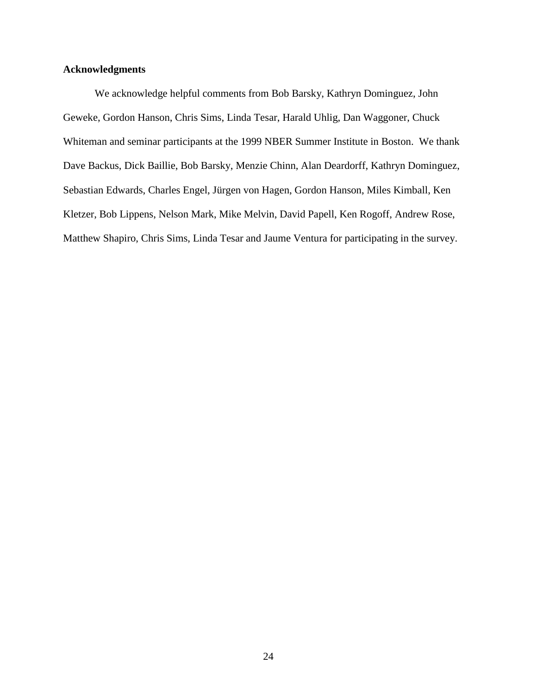#### **Acknowledgments**

We acknowledge helpful comments from Bob Barsky, Kathryn Dominguez, John Geweke, Gordon Hanson, Chris Sims, Linda Tesar, Harald Uhlig, Dan Waggoner, Chuck Whiteman and seminar participants at the 1999 NBER Summer Institute in Boston. We thank Dave Backus, Dick Baillie, Bob Barsky, Menzie Chinn, Alan Deardorff, Kathryn Dominguez, Sebastian Edwards, Charles Engel, Jürgen von Hagen, Gordon Hanson, Miles Kimball, Ken Kletzer, Bob Lippens, Nelson Mark, Mike Melvin, David Papell, Ken Rogoff, Andrew Rose, Matthew Shapiro, Chris Sims, Linda Tesar and Jaume Ventura for participating in the survey.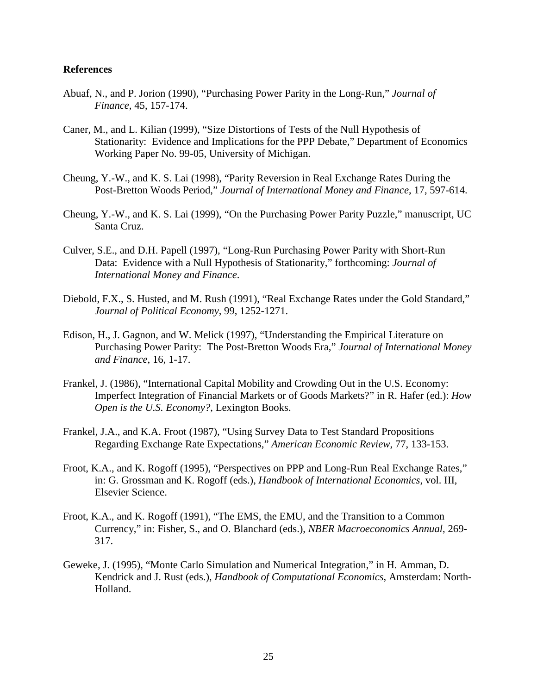#### **References**

- Abuaf, N., and P. Jorion (1990), "Purchasing Power Parity in the Long-Run," *Journal of Finance*, 45, 157-174.
- Caner, M., and L. Kilian (1999), "Size Distortions of Tests of the Null Hypothesis of Stationarity: Evidence and Implications for the PPP Debate," Department of Economics Working Paper No. 99-05, University of Michigan.
- Cheung, Y.-W., and K. S. Lai (1998), "Parity Reversion in Real Exchange Rates During the Post-Bretton Woods Period," *Journal of International Money and Finance*, 17, 597-614.
- Cheung, Y.-W., and K. S. Lai (1999), "On the Purchasing Power Parity Puzzle," manuscript, UC Santa Cruz.
- Culver, S.E., and D.H. Papell (1997), "Long-Run Purchasing Power Parity with Short-Run Data: Evidence with a Null Hypothesis of Stationarity," forthcoming: *Journal of International Money and Finance*.
- Diebold, F.X., S. Husted, and M. Rush (1991), "Real Exchange Rates under the Gold Standard," *Journal of Political Economy*, 99, 1252-1271.
- Edison, H., J. Gagnon, and W. Melick (1997), "Understanding the Empirical Literature on Purchasing Power Parity: The Post-Bretton Woods Era," *Journal of International Money and Finance*, 16, 1-17.
- Frankel, J. (1986), "International Capital Mobility and Crowding Out in the U.S. Economy: Imperfect Integration of Financial Markets or of Goods Markets?" in R. Hafer (ed.): *How Open is the U.S. Economy?*, Lexington Books.
- Frankel, J.A., and K.A. Froot (1987), "Using Survey Data to Test Standard Propositions Regarding Exchange Rate Expectations," *American Economic Review*, 77, 133-153.
- Froot, K.A., and K. Rogoff (1995), "Perspectives on PPP and Long-Run Real Exchange Rates," in: G. Grossman and K. Rogoff (eds.), *Handbook of International Economics*, vol. III, Elsevier Science.
- Froot, K.A., and K. Rogoff (1991), "The EMS, the EMU, and the Transition to a Common Currency," in: Fisher, S., and O. Blanchard (eds.), *NBER Macroeconomics Annual*, 269- 317.
- Geweke, J. (1995), "Monte Carlo Simulation and Numerical Integration," in H. Amman, D. Kendrick and J. Rust (eds.), *Handbook of Computational Economics*, Amsterdam: North-Holland.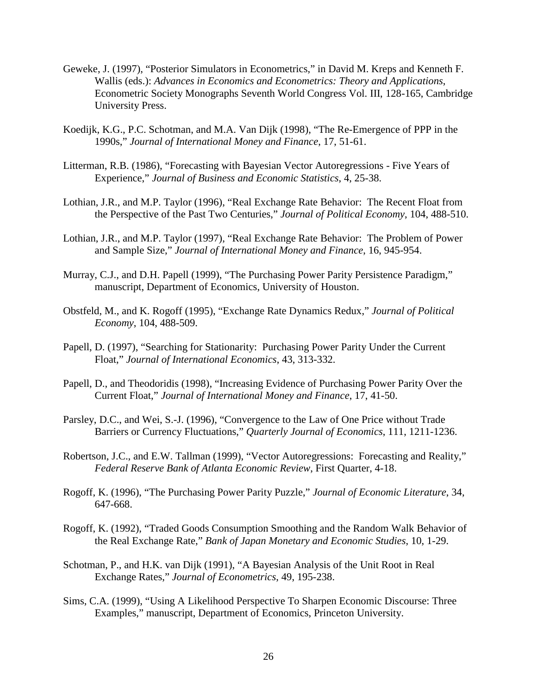- Geweke, J. (1997), "Posterior Simulators in Econometrics," in David M. Kreps and Kenneth F. Wallis (eds.): *Advances in Economics and Econometrics: Theory and Applications*, Econometric Society Monographs Seventh World Congress Vol. III, 128-165, Cambridge University Press.
- Koedijk, K.G., P.C. Schotman, and M.A. Van Dijk (1998), "The Re-Emergence of PPP in the 1990s," *Journal of International Money and Finance*, 17, 51-61.
- Litterman, R.B. (1986), "Forecasting with Bayesian Vector Autoregressions Five Years of Experience," *Journal of Business and Economic Statistics*, 4, 25-38.
- Lothian, J.R., and M.P. Taylor (1996), "Real Exchange Rate Behavior: The Recent Float from the Perspective of the Past Two Centuries," *Journal of Political Economy*, 104, 488-510.
- Lothian, J.R., and M.P. Taylor (1997), "Real Exchange Rate Behavior: The Problem of Power and Sample Size," *Journal of International Money and Finance*, 16, 945-954.
- Murray, C.J., and D.H. Papell (1999), "The Purchasing Power Parity Persistence Paradigm," manuscript, Department of Economics, University of Houston.
- Obstfeld, M., and K. Rogoff (1995), "Exchange Rate Dynamics Redux," *Journal of Political Economy*, 104, 488-509.
- Papell, D. (1997), "Searching for Stationarity: Purchasing Power Parity Under the Current Float," *Journal of International Economics*, 43, 313-332.
- Papell, D., and Theodoridis (1998), "Increasing Evidence of Purchasing Power Parity Over the Current Float," *Journal of International Money and Finance*, 17, 41-50.
- Parsley, D.C., and Wei, S.-J. (1996), "Convergence to the Law of One Price without Trade Barriers or Currency Fluctuations," *Quarterly Journal of Economics*, 111, 1211-1236.
- Robertson, J.C., and E.W. Tallman (1999), "Vector Autoregressions: Forecasting and Reality," *Federal Reserve Bank of Atlanta Economic Review*, First Quarter, 4-18.
- Rogoff, K. (1996), "The Purchasing Power Parity Puzzle," *Journal of Economic Literature*, 34, 647-668.
- Rogoff, K. (1992), "Traded Goods Consumption Smoothing and the Random Walk Behavior of the Real Exchange Rate," *Bank of Japan Monetary and Economic Studies*, 10, 1-29.
- Schotman, P., and H.K. van Dijk (1991), "A Bayesian Analysis of the Unit Root in Real Exchange Rates," *Journal of Econometrics*, 49, 195-238.
- Sims, C.A. (1999), "Using A Likelihood Perspective To Sharpen Economic Discourse: Three Examples," manuscript, Department of Economics, Princeton University.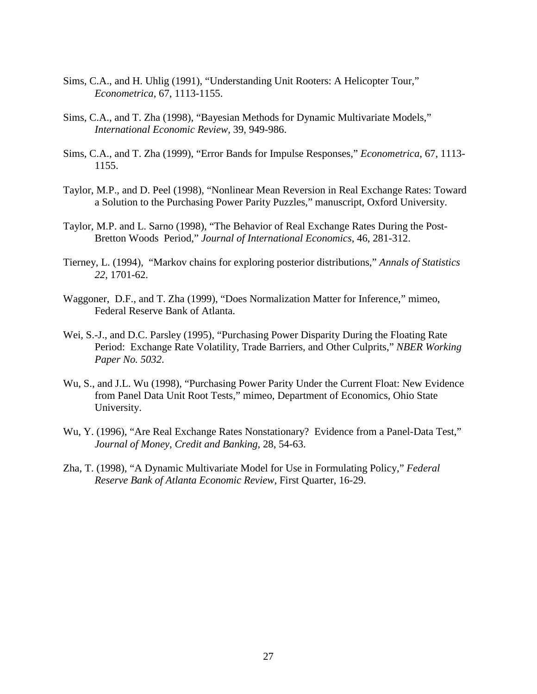- Sims, C.A., and H. Uhlig (1991), "Understanding Unit Rooters: A Helicopter Tour," *Econometrica*, 67, 1113-1155.
- Sims, C.A., and T. Zha (1998), "Bayesian Methods for Dynamic Multivariate Models," *International Economic Review*, 39, 949-986.
- Sims, C.A., and T. Zha (1999), "Error Bands for Impulse Responses," *Econometrica*, 67, 1113- 1155.
- Taylor, M.P., and D. Peel (1998), "Nonlinear Mean Reversion in Real Exchange Rates: Toward a Solution to the Purchasing Power Parity Puzzles," manuscript, Oxford University.
- Taylor, M.P. and L. Sarno (1998), "The Behavior of Real Exchange Rates During the Post-Bretton Woods Period," *Journal of International Economics*, 46, 281-312.
- Tierney, L. (1994), "Markov chains for exploring posterior distributions," *Annals of Statistics 22*, 1701-62.
- Waggoner, D.F., and T. Zha (1999), "Does Normalization Matter for Inference," mimeo, Federal Reserve Bank of Atlanta.
- Wei, S.-J., and D.C. Parsley (1995), "Purchasing Power Disparity During the Floating Rate Period: Exchange Rate Volatility, Trade Barriers, and Other Culprits," *NBER Working Paper No. 5032*.
- Wu, S., and J.L. Wu (1998), "Purchasing Power Parity Under the Current Float: New Evidence from Panel Data Unit Root Tests," mimeo, Department of Economics, Ohio State University.
- Wu, Y. (1996), "Are Real Exchange Rates Nonstationary? Evidence from a Panel-Data Test," *Journal of Money, Credit and Banking*, 28, 54-63.
- Zha, T. (1998), "A Dynamic Multivariate Model for Use in Formulating Policy," *Federal Reserve Bank of Atlanta Economic Review*, First Quarter, 16-29.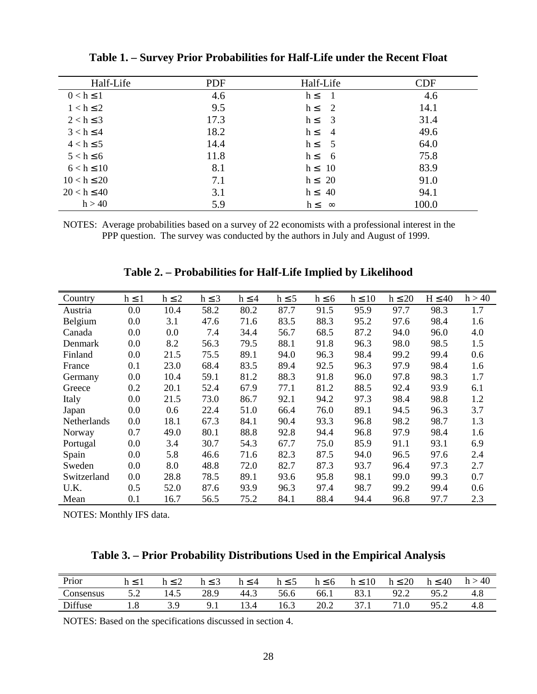| Half-Life       | <b>PDF</b> | Half-Life                           | <b>CDF</b> |
|-----------------|------------|-------------------------------------|------------|
| $0 < h \leq 1$  | 4.6        | $h \leq$                            | 4.6        |
| $1 < h \leq 2$  | 9.5        | $h \leq$<br><sup>2</sup>            | 14.1       |
| $2 < h \leq 3$  | 17.3       | $\overline{\mathbf{3}}$<br>$h \leq$ | 31.4       |
| $3 < h \leq 4$  | 18.2       | $h \leq$<br>$\overline{4}$          | 49.6       |
| $4 < h \leq 5$  | 14.4       | $h \leq$<br>- 5                     | 64.0       |
| $5 < h \leq 6$  | 11.8       | $h \leq$<br>- 6                     | 75.8       |
| $6 < h \le 10$  | 8.1        | $h \leq 10$                         | 83.9       |
| $10 < h \le 20$ | 7.1        | $h \leq 20$                         | 91.0       |
| $20 < h \le 40$ | 3.1        | $h \leq 40$                         | 94.1       |
| h > 40          | 5.9        | $h \leq \infty$                     | 100.0      |

**Table 1. – Survey Prior Probabilities for Half-Life under the Recent Float**

NOTES: Average probabilities based on a survey of 22 economists with a professional interest in the PPP question. The survey was conducted by the authors in July and August of 1999.

| Country     | $h \leq 1$ | $h \leq 2$ | $h \leq 3$ | $h \leq 4$ | $h \leq 5$ | $h \leq 6$ | $h \leq 10$ | $h \leq 20$ | $H \leq 40$ | h > 40 |
|-------------|------------|------------|------------|------------|------------|------------|-------------|-------------|-------------|--------|
| Austria     | 0.0        | 10.4       | 58.2       | 80.2       | 87.7       | 91.5       | 95.9        | 97.7        | 98.3        | 1.7    |
| Belgium     | 0.0        | 3.1        | 47.6       | 71.6       | 83.5       | 88.3       | 95.2        | 97.6        | 98.4        | 1.6    |
| Canada      | 0.0        | 0.0        | 7.4        | 34.4       | 56.7       | 68.5       | 87.2        | 94.0        | 96.0        | 4.0    |
| Denmark     | 0.0        | 8.2        | 56.3       | 79.5       | 88.1       | 91.8       | 96.3        | 98.0        | 98.5        | 1.5    |
| Finland     | 0.0        | 21.5       | 75.5       | 89.1       | 94.0       | 96.3       | 98.4        | 99.2        | 99.4        | 0.6    |
| France      | 0.1        | 23.0       | 68.4       | 83.5       | 89.4       | 92.5       | 96.3        | 97.9        | 98.4        | 1.6    |
| Germany     | 0.0        | 10.4       | 59.1       | 81.2       | 88.3       | 91.8       | 96.0        | 97.8        | 98.3        | 1.7    |
| Greece      | 0.2        | 20.1       | 52.4       | 67.9       | 77.1       | 81.2       | 88.5        | 92.4        | 93.9        | 6.1    |
| Italy       | 0.0        | 21.5       | 73.0       | 86.7       | 92.1       | 94.2       | 97.3        | 98.4        | 98.8        | 1.2    |
| Japan       | 0.0        | 0.6        | 22.4       | 51.0       | 66.4       | 76.0       | 89.1        | 94.5        | 96.3        | 3.7    |
| Netherlands | 0.0        | 18.1       | 67.3       | 84.1       | 90.4       | 93.3       | 96.8        | 98.2        | 98.7        | 1.3    |
| Norway      | 0.7        | 49.0       | 80.1       | 88.8       | 92.8       | 94.4       | 96.8        | 97.9        | 98.4        | 1.6    |
| Portugal    | 0.0        | 3.4        | 30.7       | 54.3       | 67.7       | 75.0       | 85.9        | 91.1        | 93.1        | 6.9    |
| Spain       | 0.0        | 5.8        | 46.6       | 71.6       | 82.3       | 87.5       | 94.0        | 96.5        | 97.6        | 2.4    |
| Sweden      | 0.0        | 8.0        | 48.8       | 72.0       | 82.7       | 87.3       | 93.7        | 96.4        | 97.3        | 2.7    |
| Switzerland | 0.0        | 28.8       | 78.5       | 89.1       | 93.6       | 95.8       | 98.1        | 99.0        | 99.3        | 0.7    |
| U.K.        | 0.5        | 52.0       | 87.6       | 93.9       | 96.3       | 97.4       | 98.7        | 99.2        | 99.4        | 0.6    |
| Mean        | 0.1        | 16.7       | 56.5       | 75.2       | 84.1       | 88.4       | 94.4        | 96.8        | 97.7        | 2.3    |

**Table 2. – Probabilities for Half-Life Implied by Likelihood**

NOTES: Monthly IFS data.

| Table 3. – Prior Probability Distributions Used in the Empirical Analysis |  |  |  |  |  |  |
|---------------------------------------------------------------------------|--|--|--|--|--|--|
|                                                                           |  |  |  |  |  |  |

| Prior     | $h \leq 1$ | h < 2 | $h \leq 3$ | $h \leq 4$ | $h \leq 5$ | $h \leq 6$ | $h \leq 10$ | $h \leq 20$ | $h \leq 40$ | h > 40 |
|-----------|------------|-------|------------|------------|------------|------------|-------------|-------------|-------------|--------|
| Consensus | 5.2        | 14.5  | 28.9       | 44.3       | 56.6       | 66.1       | 83.1        | 92.2        | 95.2        | 4.8    |
| Diffuse   |            |       | 9.1        | 13.4       | 16.3       | 20.2       | 37.1        |             | 95.2        | 4.8    |

NOTES: Based on the specifications discussed in section 4.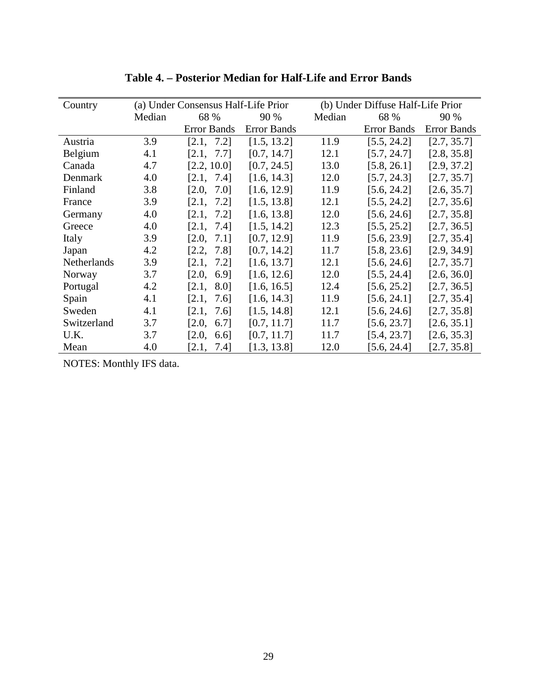| Country            |        | (a) Under Consensus Half-Life Prior |                    | (b) Under Diffuse Half-Life Prior |                    |                    |  |  |
|--------------------|--------|-------------------------------------|--------------------|-----------------------------------|--------------------|--------------------|--|--|
|                    | Median | 68 %                                | 90 %               | Median                            | 68 %               | 90 %               |  |  |
|                    |        | <b>Error Bands</b>                  | <b>Error Bands</b> |                                   | <b>Error Bands</b> | <b>Error Bands</b> |  |  |
| Austria            | 3.9    | $\left[2.1, \right]$<br>7.21        | [1.5, 13.2]        | 11.9                              | [5.5, 24.2]        | [2.7, 35.7]        |  |  |
| Belgium            | 4.1    | $\left[2.1, \right]$<br>7.71        | [0.7, 14.7]        | 12.1                              | [5.7, 24.7]        | [2.8, 35.8]        |  |  |
| Canada             | 4.7    | [2.2, 10.0]                         | [0.7, 24.5]        | 13.0                              | [5.8, 26.1]        | [2.9, 37.2]        |  |  |
| Denmark            | 4.0    | [2.1, 7.4]                          | [1.6, 14.3]        | 12.0                              | [5.7, 24.3]        | [2.7, 35.7]        |  |  |
| Finland            | 3.8    | [2.0,<br>7.01                       | [1.6, 12.9]        | 11.9                              | [5.6, 24.2]        | [2.6, 35.7]        |  |  |
| France             | 3.9    | $\left[2.1, \right]$<br>7.21        | [1.5, 13.8]        | 12.1                              | [5.5, 24.2]        | [2.7, 35.6]        |  |  |
| Germany            | 4.0    | 7.21<br>$\left[2.1, \right]$        | [1.6, 13.8]        | 12.0                              | [5.6, 24.6]        | [2.7, 35.8]        |  |  |
| Greece             | 4.0    | $\left[2.1, \right]$<br>7.41        | [1.5, 14.2]        | 12.3                              | [5.5, 25.2]        | [2.7, 36.5]        |  |  |
| Italy              | 3.9    | $\left[2.0, \right]$<br>7.11        | [0.7, 12.9]        | 11.9                              | [5.6, 23.9]        | [2.7, 35.4]        |  |  |
| Japan              | 4.2    | $\left[2.2, \right]$<br>7.81        | [0.7, 14.2]        | 11.7                              | [5.8, 23.6]        | [2.9, 34.9]        |  |  |
| <b>Netherlands</b> | 3.9    | $\left[2.1, \right]$<br>7.21        | [1.6, 13.7]        | 12.1                              | [5.6, 24.6]        | [2.7, 35.7]        |  |  |
| Norway             | 3.7    | 6.91<br>$\left[2.0, \right]$        | [1.6, 12.6]        | 12.0                              | [5.5, 24.4]        | [2.6, 36.0]        |  |  |
| Portugal           | 4.2    | $\left[2.1, \right]$<br>8.01        | [1.6, 16.5]        | 12.4                              | [5.6, 25.2]        | [2.7, 36.5]        |  |  |
| Spain              | 4.1    | $\left[2.1, \right]$<br>7.61        | [1.6, 14.3]        | 11.9                              | [5.6, 24.1]        | [2.7, 35.4]        |  |  |
| Sweden             | 4.1    | $\left[2.1, \right]$<br>7.6]        | [1.5, 14.8]        | 12.1                              | [5.6, 24.6]        | [2.7, 35.8]        |  |  |
| Switzerland        | 3.7    | $\left[2.0, \right]$<br>6.7]        | [0.7, 11.7]        | 11.7                              | [5.6, 23.7]        | [2.6, 35.1]        |  |  |
| U.K.               | 3.7    | [2.0,<br>6.6                        | [0.7, 11.7]        | 11.7                              | [5.4, 23.7]        | [2.6, 35.3]        |  |  |
| Mean               | 4.0    | 7.4]<br>$\left[2.1, \right]$        | [1.3, 13.8]        | 12.0                              | [5.6, 24.4]        | [2.7, 35.8]        |  |  |

**Table 4. – Posterior Median for Half-Life and Error Bands**

NOTES: Monthly IFS data.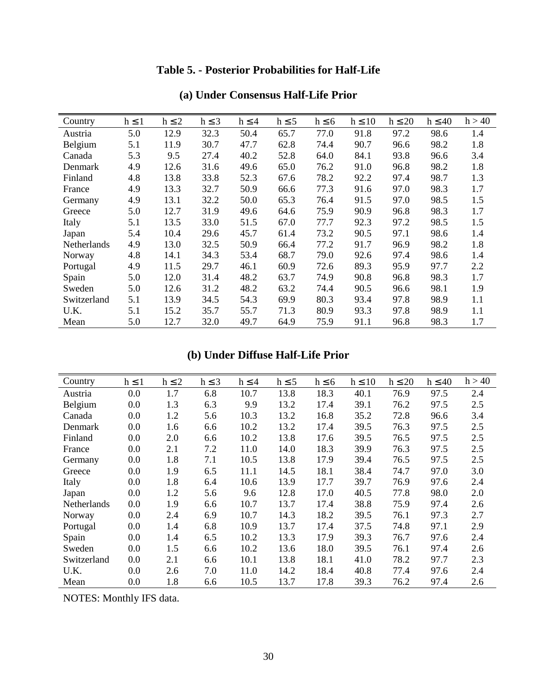## **Table 5. - Posterior Probabilities for Half-Life**

| Country     | $h \leq 1$ | $h \leq 2$ | $h \leq 3$ | $h \leq 4$ | $h \leq 5$ | $h \leq 6$ | $h \leq 10$ | $h \leq 20$ | $h \leq 40$ | h > 40 |
|-------------|------------|------------|------------|------------|------------|------------|-------------|-------------|-------------|--------|
| Austria     | 5.0        | 12.9       | 32.3       | 50.4       | 65.7       | 77.0       | 91.8        | 97.2        | 98.6        | 1.4    |
| Belgium     | 5.1        | 11.9       | 30.7       | 47.7       | 62.8       | 74.4       | 90.7        | 96.6        | 98.2        | 1.8    |
| Canada      | 5.3        | 9.5        | 27.4       | 40.2       | 52.8       | 64.0       | 84.1        | 93.8        | 96.6        | 3.4    |
| Denmark     | 4.9        | 12.6       | 31.6       | 49.6       | 65.0       | 76.2       | 91.0        | 96.8        | 98.2        | 1.8    |
| Finland     | 4.8        | 13.8       | 33.8       | 52.3       | 67.6       | 78.2       | 92.2        | 97.4        | 98.7        | 1.3    |
| France      | 4.9        | 13.3       | 32.7       | 50.9       | 66.6       | 77.3       | 91.6        | 97.0        | 98.3        | 1.7    |
| Germany     | 4.9        | 13.1       | 32.2       | 50.0       | 65.3       | 76.4       | 91.5        | 97.0        | 98.5        | 1.5    |
| Greece      | 5.0        | 12.7       | 31.9       | 49.6       | 64.6       | 75.9       | 90.9        | 96.8        | 98.3        | 1.7    |
| Italy       | 5.1        | 13.5       | 33.0       | 51.5       | 67.0       | 77.7       | 92.3        | 97.2        | 98.5        | 1.5    |
| Japan       | 5.4        | 10.4       | 29.6       | 45.7       | 61.4       | 73.2       | 90.5        | 97.1        | 98.6        | 1.4    |
| Netherlands | 4.9        | 13.0       | 32.5       | 50.9       | 66.4       | 77.2       | 91.7        | 96.9        | 98.2        | 1.8    |
| Norway      | 4.8        | 14.1       | 34.3       | 53.4       | 68.7       | 79.0       | 92.6        | 97.4        | 98.6        | 1.4    |
| Portugal    | 4.9        | 11.5       | 29.7       | 46.1       | 60.9       | 72.6       | 89.3        | 95.9        | 97.7        | 2.2    |
| Spain       | 5.0        | 12.0       | 31.4       | 48.2       | 63.7       | 74.9       | 90.8        | 96.8        | 98.3        | 1.7    |
| Sweden      | 5.0        | 12.6       | 31.2       | 48.2       | 63.2       | 74.4       | 90.5        | 96.6        | 98.1        | 1.9    |
| Switzerland | 5.1        | 13.9       | 34.5       | 54.3       | 69.9       | 80.3       | 93.4        | 97.8        | 98.9        | 1.1    |
| U.K.        | 5.1        | 15.2       | 35.7       | 55.7       | 71.3       | 80.9       | 93.3        | 97.8        | 98.9        | 1.1    |
| Mean        | 5.0        | 12.7       | 32.0       | 49.7       | 64.9       | 75.9       | 91.1        | 96.8        | 98.3        | 1.7    |

### **(a) Under Consensus Half-Life Prior**

## **(b) Under Diffuse Half-Life Prior**

| Country     | $h \leq 1$ | $h \leq 2$ | $h \leq 3$ | $h \leq 4$ | $h \leq 5$ | $h \leq 6$ | $h \leq 10$ | $h \leq 20$ | $h \leq 40$ | h > 40 |
|-------------|------------|------------|------------|------------|------------|------------|-------------|-------------|-------------|--------|
| Austria     | 0.0        | 1.7        | 6.8        | 10.7       | 13.8       | 18.3       | 40.1        | 76.9        | 97.5        | 2.4    |
| Belgium     | 0.0        | 1.3        | 6.3        | 9.9        | 13.2       | 17.4       | 39.1        | 76.2        | 97.5        | 2.5    |
| Canada      | 0.0        | 1.2        | 5.6        | 10.3       | 13.2       | 16.8       | 35.2        | 72.8        | 96.6        | 3.4    |
| Denmark     | 0.0        | 1.6        | 6.6        | 10.2       | 13.2       | 17.4       | 39.5        | 76.3        | 97.5        | 2.5    |
| Finland     | 0.0        | 2.0        | 6.6        | 10.2       | 13.8       | 17.6       | 39.5        | 76.5        | 97.5        | 2.5    |
| France      | 0.0        | 2.1        | 7.2        | 11.0       | 14.0       | 18.3       | 39.9        | 76.3        | 97.5        | 2.5    |
| Germany     | 0.0        | 1.8        | 7.1        | 10.5       | 13.8       | 17.9       | 39.4        | 76.5        | 97.5        | 2.5    |
| Greece      | 0.0        | 1.9        | 6.5        | 11.1       | 14.5       | 18.1       | 38.4        | 74.7        | 97.0        | 3.0    |
| Italy       | 0.0        | 1.8        | 6.4        | 10.6       | 13.9       | 17.7       | 39.7        | 76.9        | 97.6        | 2.4    |
| Japan       | 0.0        | 1.2        | 5.6        | 9.6        | 12.8       | 17.0       | 40.5        | 77.8        | 98.0        | 2.0    |
| Netherlands | 0.0        | 1.9        | 6.6        | 10.7       | 13.7       | 17.4       | 38.8        | 75.9        | 97.4        | 2.6    |
| Norway      | 0.0        | 2.4        | 6.9        | 10.7       | 14.3       | 18.2       | 39.5        | 76.1        | 97.3        | 2.7    |
| Portugal    | 0.0        | 1.4        | 6.8        | 10.9       | 13.7       | 17.4       | 37.5        | 74.8        | 97.1        | 2.9    |
| Spain       | 0.0        | 1.4        | 6.5        | 10.2       | 13.3       | 17.9       | 39.3        | 76.7        | 97.6        | 2.4    |
| Sweden      | 0.0        | 1.5        | 6.6        | 10.2       | 13.6       | 18.0       | 39.5        | 76.1        | 97.4        | 2.6    |
| Switzerland | 0.0        | 2.1        | 6.6        | 10.1       | 13.8       | 18.1       | 41.0        | 78.2        | 97.7        | 2.3    |
| U.K.        | 0.0        | 2.6        | 7.0        | 11.0       | 14.2       | 18.4       | 40.8        | 77.4        | 97.6        | 2.4    |
| Mean        | 0.0        | 1.8        | 6.6        | 10.5       | 13.7       | 17.8       | 39.3        | 76.2        | 97.4        | 2.6    |

NOTES: Monthly IFS data.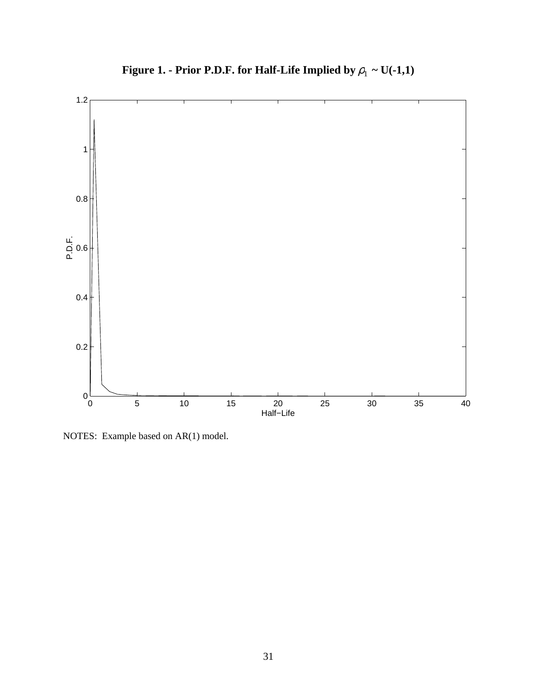

**Figure 1. - Prior P.D.F. for Half-Life Implied by**  $\rho_1 \sim U(-1,1)$ 

NOTES: Example based on AR(1) model.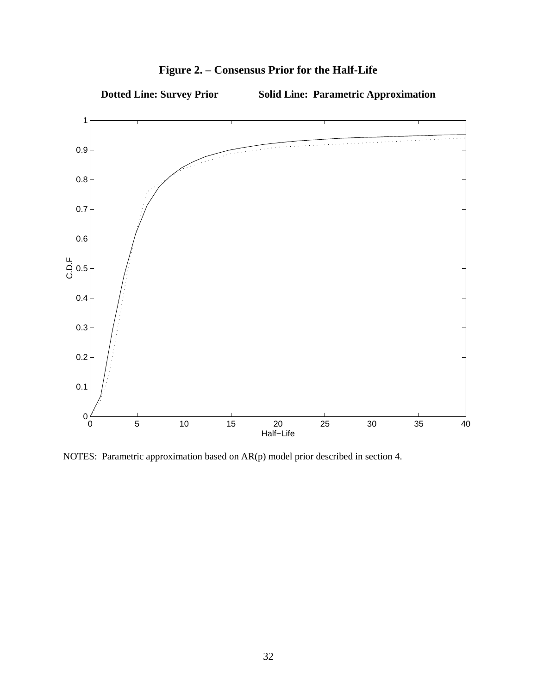

**Figure 2. – Consensus Prior for the Half-Life**

NOTES: Parametric approximation based on AR(p) model prior described in section 4.